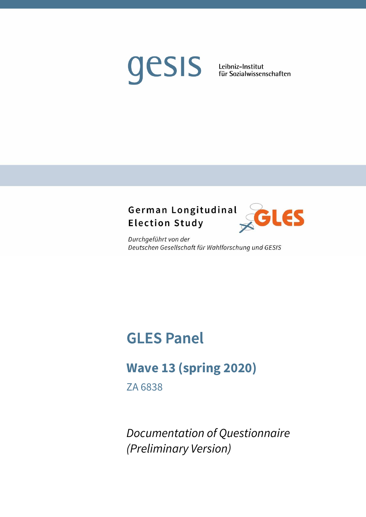# gesis

Leibniz-Institut für Sozialwissenschaften

# German Longitudinal **Election Study**



Durchgeführt von der Deutschen Gesellschaft für Wahlforschung und GESIS

# **GLES Panel**

# **Wave 13 (spring 2020)**

ZA 6838

*Documentation of Questionnaire (Preliminary Version)*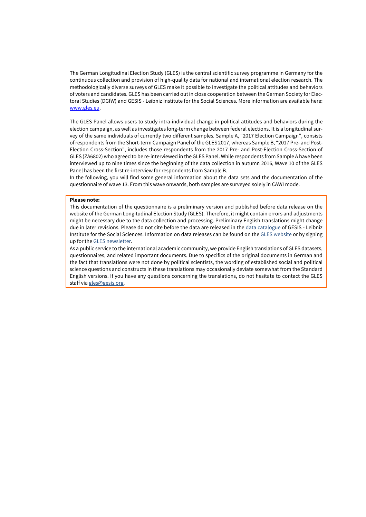The German Longitudinal Election Study (GLES) is the central scientific survey programme in Germany for the continuous collection and provision of high-quality data for national and international election research. The methodologically diverse surveys of GLES make it possible to investigate the political attitudes and behaviors of voters and candidates. GLES has been carried out in close cooperation between the German Society for Electoral Studies (DGfW) and GESIS - Leibniz Institute for the Social Sciences. More information are available here: www.gles.eu.

The GLES Panel allows users to study intra-individual change in political attitudes and behaviors during the election campaign, as well as investigates long-term change between federal elections. It is a longitudinal survey of the same individuals of currently two different samples. Sample A, "2017 Election Campaign", consists of respondents from the Short-term Campaign Panel of the GLES 2017, whereas Sample B, "2017 Pre- and Post-Election Cross-Section", includes those respondents from the 2017 Pre- and Post-Election Cross-Section of GLES (ZA6802) who agreed to be re-interviewed in the GLES Panel. While respondents from Sample A have been interviewed up to nine times since the beginning of the data collection in autumn 2016, Wave 10 of the GLES Panel has been the first re-interview for respondents from Sample B.

In the following, you will find some general information about the data sets and the documentation of the questionnaire of wave 13. From this wave onwards, both samples are surveyed solely in CAWI mode.

### **Please note:**

This documentation of the questionnaire is a preliminary version and published before data release on the website of the German Longitudinal Election Study (GLES). Therefore, it might contain errors and adjustments might be necessary due to the data collection and processing. Preliminary English translations might change due in later revisions. Please do not cite before the data are released in the data catalogue of GESIS - Leibniz Institute for the Social Sciences. Information on data releases can be found on the GLES website or by signing up for the GLES newsletter.

As a public service to the international academic community, we provide English translations of GLES datasets, questionnaires, and related important documents. Due to specifics of the original documents in German and the fact that translations were not done by political scientists, the wording of established social and political science questions and constructs in these translations may occasionally deviate somewhat from the Standard English versions. If you have any questions concerning the translations, do not hesitate to contact the GLES staff via gles@gesis.org.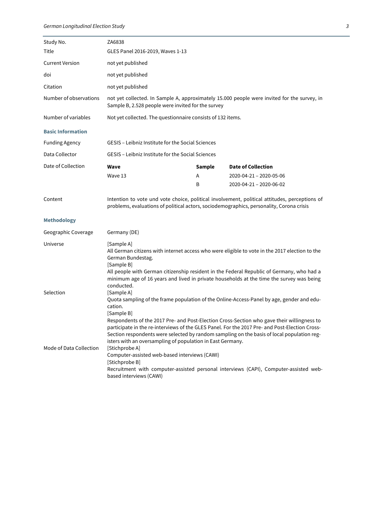| Study No.                | ZA6838                                                                                                                                                                                                                                                                                                                                                                                                                                                                                       |        |                                                                                                                                                                                                                                                                                         |
|--------------------------|----------------------------------------------------------------------------------------------------------------------------------------------------------------------------------------------------------------------------------------------------------------------------------------------------------------------------------------------------------------------------------------------------------------------------------------------------------------------------------------------|--------|-----------------------------------------------------------------------------------------------------------------------------------------------------------------------------------------------------------------------------------------------------------------------------------------|
| Title                    | GLES Panel 2016-2019, Waves 1-13                                                                                                                                                                                                                                                                                                                                                                                                                                                             |        |                                                                                                                                                                                                                                                                                         |
| <b>Current Version</b>   | not yet published                                                                                                                                                                                                                                                                                                                                                                                                                                                                            |        |                                                                                                                                                                                                                                                                                         |
| doi                      | not yet published                                                                                                                                                                                                                                                                                                                                                                                                                                                                            |        |                                                                                                                                                                                                                                                                                         |
| Citation                 | not yet published                                                                                                                                                                                                                                                                                                                                                                                                                                                                            |        |                                                                                                                                                                                                                                                                                         |
| Number of observations   | Sample B, 2.528 people were invited for the survey                                                                                                                                                                                                                                                                                                                                                                                                                                           |        | not yet collected. In Sample A, approximately 15.000 people were invited for the survey, in                                                                                                                                                                                             |
| Number of variables      | Not yet collected. The questionnaire consists of 132 items.                                                                                                                                                                                                                                                                                                                                                                                                                                  |        |                                                                                                                                                                                                                                                                                         |
| <b>Basic Information</b> |                                                                                                                                                                                                                                                                                                                                                                                                                                                                                              |        |                                                                                                                                                                                                                                                                                         |
| <b>Funding Agency</b>    | GESIS - Leibniz Institute for the Social Sciences                                                                                                                                                                                                                                                                                                                                                                                                                                            |        |                                                                                                                                                                                                                                                                                         |
| Data Collector           | GESIS - Leibniz Institute for the Social Sciences                                                                                                                                                                                                                                                                                                                                                                                                                                            |        |                                                                                                                                                                                                                                                                                         |
| Date of Collection       | Wave                                                                                                                                                                                                                                                                                                                                                                                                                                                                                         | Sample | <b>Date of Collection</b>                                                                                                                                                                                                                                                               |
|                          | Wave 13                                                                                                                                                                                                                                                                                                                                                                                                                                                                                      | A<br>B | 2020-04-21 - 2020-05-06<br>2020-04-21 - 2020-06-02                                                                                                                                                                                                                                      |
|                          | problems, evaluations of political actors, sociodemographics, personality, Corona crisis                                                                                                                                                                                                                                                                                                                                                                                                     |        |                                                                                                                                                                                                                                                                                         |
| <b>Methodology</b>       |                                                                                                                                                                                                                                                                                                                                                                                                                                                                                              |        |                                                                                                                                                                                                                                                                                         |
| Geographic Coverage      | Germany (DE)                                                                                                                                                                                                                                                                                                                                                                                                                                                                                 |        |                                                                                                                                                                                                                                                                                         |
| Universe                 | [Sample A]<br>German Bundestag.<br>[Sample B]<br>conducted.                                                                                                                                                                                                                                                                                                                                                                                                                                  |        | All German citizens with internet access who were eligible to vote in the 2017 election to the<br>All people with German citizenship resident in the Federal Republic of Germany, who had a<br>minimum age of 16 years and lived in private households at the time the survey was being |
| Selection                | [Sample A]<br>Quota sampling of the frame population of the Online-Access-Panel by age, gender and edu-<br>cation.<br>[Sample B]<br>Respondents of the 2017 Pre- and Post-Election Cross-Section who gave their willingness to<br>participate in the re-interviews of the GLES Panel. For the 2017 Pre- and Post-Election Cross-<br>Section respondents were selected by random sampling on the basis of local population reg-<br>isters with an oversampling of population in East Germany. |        |                                                                                                                                                                                                                                                                                         |
| Mode of Data Collection  | [Stichprobe A]<br>Computer-assisted web-based interviews (CAWI)<br>[Stichprobe B]<br>Recruitment with computer-assisted personal interviews (CAPI), Computer-assisted web-<br>based interviews (CAWI)                                                                                                                                                                                                                                                                                        |        |                                                                                                                                                                                                                                                                                         |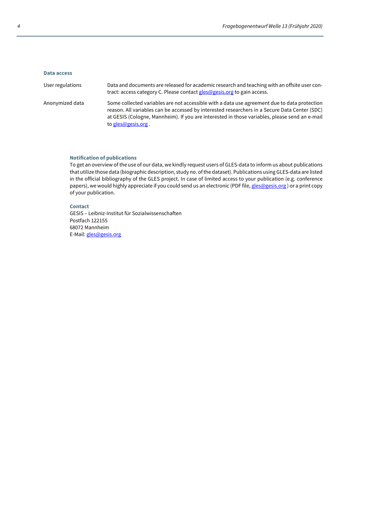### **Data access**

| User regulations | Data and documents are released for academic research and teaching with an offsite user con-<br>tract: access category C. Please contact gles@gesis.org to gain access.                                                                                                                                              |
|------------------|----------------------------------------------------------------------------------------------------------------------------------------------------------------------------------------------------------------------------------------------------------------------------------------------------------------------|
| Anonymized data  | Some collected variables are not accessible with a data use agreement due to data protection<br>reason. All variables can be accessed by interested researchers in a Secure Data Center (SDC)<br>at GESIS (Cologne, Mannheim). If you are interested in those variables, please send an e-mail<br>to gles@gesis.org. |

### **Notification of publications**

To get an overview of the use of our data, we kindly request users of GLES-data to inform us about publications that utilize those data (biographic description, study no. of the dataset). Publications using GLES-data are listed in the official bibliography of the GLES project. In case of limited access to your publication (e.g. conference papers), we would highly appreciate if you could send us an electronic (PDF file, gles@gesis.org) or a print copy of your publication.

### **Contact**

GESIS – Leibniz-Institut für Sozialwissenschaften Postfach 122155 68072 Mannheim E-Mail: gles@gesis.org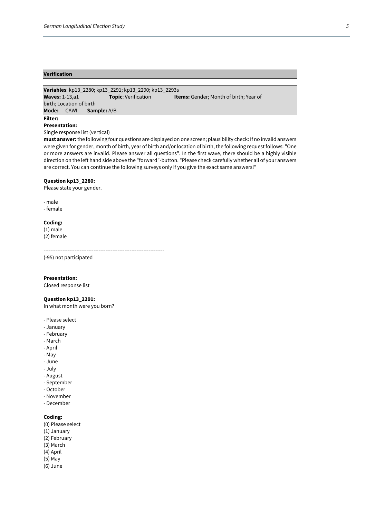### **Verification**

**Variables**: kp13\_2280; kp13\_2291; kp13\_2290; kp13\_2293s **Waves:** 1-13,a1 **Topic**: Verification **Items:** Gender; Month of birth; Year of birth; Location of birth **Mode:** CAWI **Sample:** A/B

### **Filter:**

### **Presentation:**

Single response list (vertical)

**must answer:** the following four questions are displayed on one screen; plausibility check: If no invalid answers were given for gender, month of birth, year of birth and/or location of birth, the following request follows: "One or more answers are invalid. Please answer all questions". In the first wave, there should be a highly visible direction on the left hand side above the "forward"-button. "Please check carefully whether all of your answers are correct. You can continue the following surveys only if you give the exact same answers!"

### **Question kp13\_2280:**

Please state your gender.

- male

- female

### **Coding:**

(1) male (2) female

----------------------------------------------------------------------

(-95) not participated

**Presentation:** 

Closed response list

### **Question kp13\_2291:**

In what month were you born?

- Please select
- January
- February
- March
- April
- May
- June
- July - August
- September
- October
- November
- December
- 

### **Coding:**

- (0) Please select
- (1) January
- (2) February
- (3) March
- (4) April
- (5) May
- (6) June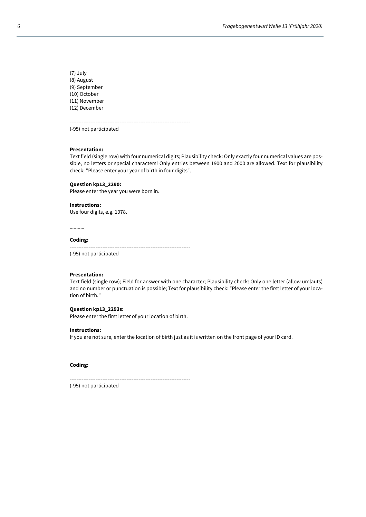(7) July (8) August (9) September (10) October (11) November (12) December

---------------------------------------------------------------------- (-95) not participated

### **Presentation:**

Text field (single row) with four numerical digits; Plausibility check: Only exactly four numerical values are possible, no letters or special characters! Only entries between 1900 and 2000 are allowed. Text for plausibility check: "Please enter your year of birth in four digits".

### **Question kp13\_2290:**

Please enter the year you were born in.

### **Instructions:**

Use four digits, e.g. 1978.

 $-$ 

### **Coding:**

----------------------------------------------------------------------

(-95) not participated

### **Presentation:**

Text field (single row); Field for answer with one character; Plausibility check: Only one letter (allow umlauts) and no number or punctuation is possible; Text for plausibility check: "Please enter the first letter of your location of birth."

### **Question kp13\_2293s:**

Please enter the first letter of your location of birth.

### **Instructions:**

If you are not sure, enter the location of birth just as it is written on the front page of your ID card.

\_

### **Coding:**

----------------------------------------------------------------------

(-95) not participated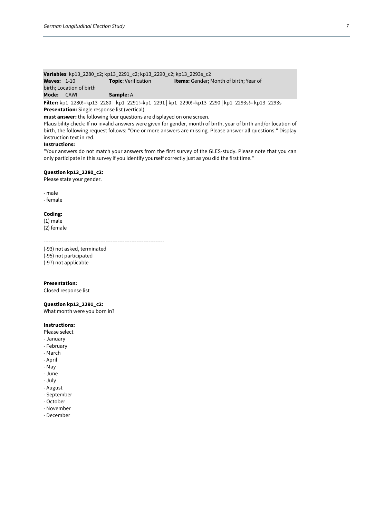| Variables: kp13_2280_c2; kp13_2291_c2; kp13_2290_c2; kp13_2293s_c2 |      |                            |                                               |  |
|--------------------------------------------------------------------|------|----------------------------|-----------------------------------------------|--|
| <b>Waves:</b> $1-10$                                               |      | <b>Topic:</b> Verification | <b>Items:</b> Gender: Month of birth: Year of |  |
| birth: Location of birth                                           |      |                            |                                               |  |
| Mode:                                                              | CAWI | <b>Sample:</b> A           |                                               |  |

**Filter:** kp1\_2280!=kp13\_2280 | kp1\_2291!=kp1\_2291 | kp1\_2290!=kp13\_2290 | kp1\_2293s!= kp13\_2293s

**Presentation:** Single response list (vertical)

**must answer:** the following four questions are displayed on one screen.

Plausibility check: If no invalid answers were given for gender, month of birth, year of birth and/or location of birth, the following request follows: "One or more answers are missing. Please answer all questions." Display instruction text in red.

### **Instructions:**

"Your answers do not match your answers from the first survey of the GLES-study. Please note that you can only participate in this survey if you identify yourself correctly just as you did the first time."

### **Question kp13\_2280\_c2:**

Please state your gender.

### - male

- female

### **Coding:**

(1) male (2) female

----------------------------------------------------------------------

(-93) not asked, terminated (-95) not participated

(-97) not applicable

### **Presentation:**

Closed response list

### **Question kp13\_2291\_c2:**

What month were you born in?

### **Instructions:**

- Please select
- January
- February
- March
- April
- May
- June
- July
- August
- September
- October
- November
- December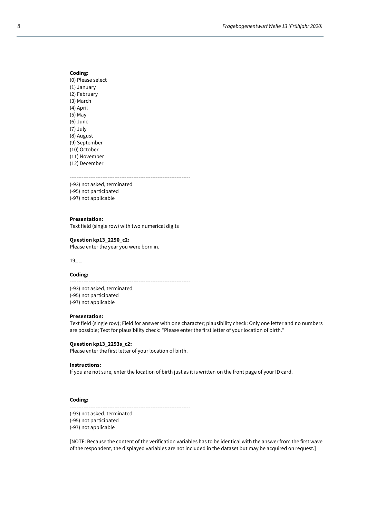(0) Please select (1) January (2) February (3) March (4) April (5) May (6) June (7) July (8) August (9) September (10) October (11) November (12) December

----------------------------------------------------------------------

(-93) not asked, terminated

(-95) not participated

(-97) not applicable

### **Presentation:**

Text field (single row) with two numerical digits

### **Question kp13\_2290\_c2:**

Please enter the year you were born in.

 $19$ <sub>--</sub>

### **Coding:**

---------------------------------------------------------------------- (-93) not asked, terminated (-95) not participated (-97) not applicable

### **Presentation:**

Text field (single row); Field for answer with one character; plausibility check: Only one letter and no numbers are possible; Text for plausibility check: "Please enter the first letter of your location of birth."

### **Question kp13\_2293s\_c2:**

Please enter the first letter of your location of birth.

### **Instructions:**

If you are not sure, enter the location of birth just as it is written on the front page of your ID card.

 $\overline{a}$ 

### **Coding:**

----------------------------------------------------------------------

(-93) not asked, terminated

(-95) not participated

(-97) not applicable

[NOTE: Because the content of the verification variables has to be identical with the answer from the first wave of the respondent, the displayed variables are not included in the dataset but may be acquired on request.]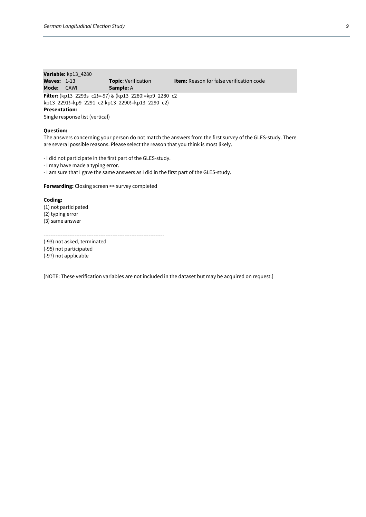|               | Variable: kp13_4280 |                            |                                                 |
|---------------|---------------------|----------------------------|-------------------------------------------------|
| Waves: $1-13$ |                     | <b>Topic:</b> Verification | <b>Item:</b> Reason for false verification code |
| Mode:         | CAWI                | <b>Sample:</b> A           |                                                 |

**Filter:** (kp13\_2293s\_c2!=-97) & (kp13\_2280!=kp9\_2280\_c2 kp13\_2291!=kp9\_2291\_c2|kp13\_2290!=kp13\_2290\_c2)

### **Presentation:**

Single response list (vertical)

### **Question:**

The answers concerning your person do not match the answers from the first survey of the GLES-study. There are several possible reasons. Please select the reason that you think is most likely.

- I did not participate in the first part of the GLES-study.

- I may have made a typing error.

- I am sure that I gave the same answers as I did in the first part of the GLES-study.

**Forwarding:** Closing screen >> survey completed

### **Coding:**

(1) not participated (2) typing error (3) same answer

----------------------------------------------------------------------

(-93) not asked, terminated (-95) not participated

(-97) not applicable

[NOTE: These verification variables are not included in the dataset but may be acquired on request.]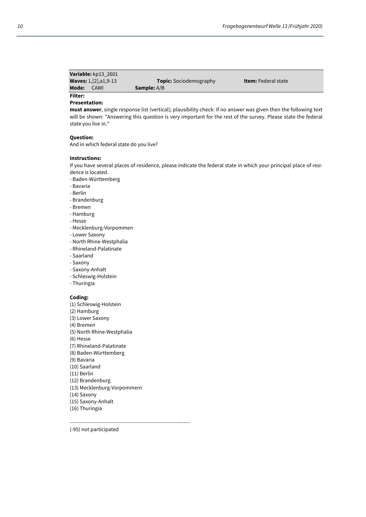| Variable: kp13 2601              |                               |                            |  |
|----------------------------------|-------------------------------|----------------------------|--|
| <b>Waves:</b> $1, [2], a1, 9-13$ | <b>Topic:</b> Sociodemography | <b>Item:</b> Federal state |  |
| Mode:<br>CAWI                    | <b>Sample:</b> A/B            |                            |  |
| <b>Filter:</b>                   |                               |                            |  |

### **Presentation:**

**must answer**, single response list (vertical); plausibility check: If no answer was given then the following text will be shown: "Answering this question is very important for the rest of the survey. Please state the federal state you live in."

### **Question:**

And in which federal state do you live?

### **Instructions:**

If you have several places of residence, please indicate the federal state in which your principal place of residence is located.

- Baden-Württemberg
- Bavaria
- Berlin
- Brandenburg
- Bremen
- Hamburg
- Hesse
- Mecklenburg-Vorpommen
- Lower Saxony
- North Rhine-Westphalia
- Rhineland-Palatinate
- Saarland
- Saxony
- Saxony-Anhalt
- Schleswig-Holstein
- Thuringia

### **Coding:**

- (1) Schleswig-Holstein
- (2) Hamburg
- (3) Lower Saxony
- (4) Bremen
- (5) North Rhine-Westphalia
- (6) Hesse
- (7) Rhineland-Palatinate
- (8) Baden-Württemberg
- (9) Bavaria
- (10) Saarland
- (11) Berlin
- (12) Brandenburg
- (13) Mecklenburg-Vorpommern
- (14) Saxony
- (15) Saxony-Anhalt
- (16) Thuringia

----------------------------------------------------------------------

(-95) not participated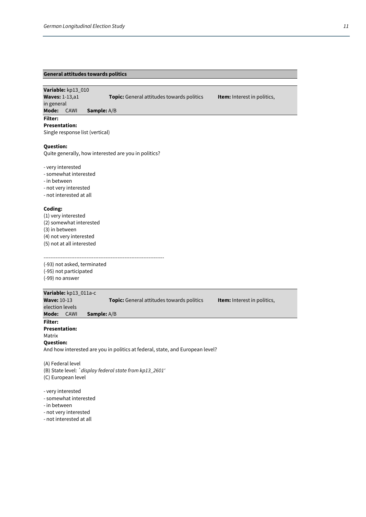### **General attitudes towards politics**

**Variable:** kp13\_010

in general

**Waves:** 1-13,a1 **Topic:** General attitudes towards politics **Item:** Interest in politics,

**Mode:** CAWI **Sample:** A/B

### **Filter:**

**Presentation:**  Single response list (vertical)

### **Question:**

Quite generally, how interested are you in politics?

- very interested

- somewhat interested
- in between
- not very interested
- not interested at all

### **Coding:**

(1) very interested (2) somewhat interested (3) in between (4) not very interested (5) not at all interested

---------------------------------------------------------------------- (-93) not asked, terminated

(-95) not participated (-99) no answer

|                      | Variable: kp13_011a-c |                                                                                        |  |
|----------------------|-----------------------|----------------------------------------------------------------------------------------|--|
| <b>Wave: 10-13</b>   |                       | <b>Topic:</b> General attitudes towards politics<br><b>Item:</b> Interest in politics, |  |
| election levels      |                       |                                                                                        |  |
| Mode:                | CAWI                  | <b>Sample:</b> A/B                                                                     |  |
| <b>Filter:</b>       |                       |                                                                                        |  |
| <b>Presentation:</b> |                       |                                                                                        |  |
| Matrix               |                       |                                                                                        |  |
| <b>Question:</b>     |                       |                                                                                        |  |
|                      |                       | And how interested are you in politics at federal, state, and European level?          |  |
|                      |                       |                                                                                        |  |

(A) Federal level (B) State level: *`display federal state from kp13\_2601'* (C) European level

- very interested

- somewhat interested

- in between
- not very interested
- not interested at all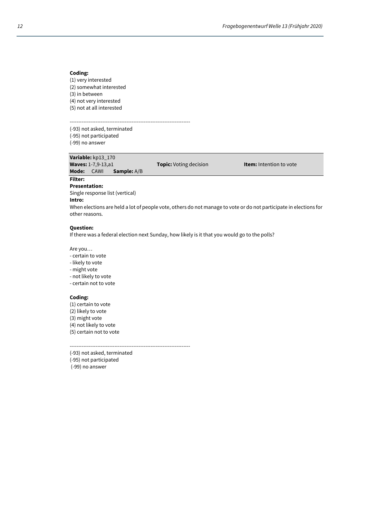(1) very interested (2) somewhat interested (3) in between (4) not very interested (5) not at all interested

---------------------------------------------------------------------- (-93) not asked, terminated

(-95) not participated (-99) no answer

**Variable:** kp13\_170 **Mode:** CAWI **Sample:** A/B

**Topic:** Voting decision **Item:** Intention to vote

**Presentation:** 

Single response list (vertical)

### **Intro:**

**Filter:** 

When elections are held a lot of people vote, others do not manage to vote or do not participate in elections for other reasons.

### **Question:**

If there was a federal election next Sunday, how likely is it that you would go to the polls?

Are you…

- certain to vote
- likely to vote
- might vote
- not likely to vote
- certain not to vote

### **Coding:**

(1) certain to vote (2) likely to vote (3) might vote (4) not likely to vote (5) certain not to vote

----------------------------------------------------------------------

(-93) not asked, terminated (-95) not participated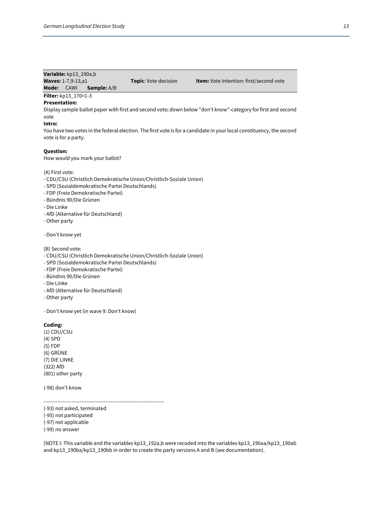### **Variable:** kp13\_190a,b

**Waves:** 1-7,9-13,a1 **Topic**: Vote decision **Item:** Vote intention: first/second vote **Mode:** CAWI **Sample:** A/B

### **Filter:** kp13\_170=1-3

### **Presentation:**

Display sample ballot paper with first and second vote; down below "don't know"-category for first and second vote

### **Intro:**

You have two votes in the federal election. The first vote is for a candidate in your local constituency, the second vote is for a party.

### **Question:**

How would you mark your ballot?

### (A) First vote:

- CDU/CSU (Christlich Demokratische Union/Christlich-Soziale Union)
- SPD (Sozialdemokratische Partei Deutschlands)
- FDP (Freie Demokratische Partei)
- Bündnis 90/Die Grünen
- Die Linke
- AfD (Alternative für Deutschland)
- Other party
- Don't know yet

### (B) Second vote:

- CDU/CSU (Christlich Demokratische Union/Christlich-Soziale Union)
- SPD (Sozialdemokratische Partei Deutschlands)
- FDP (Freie Demokratische Partei)
- Bündnis 90/Die Grünen
- Die Linke
- AfD (Alternative für Deutschland)
- Other party

- Don't know yet (in wave 9: Don't know)

### **Coding:**

(1) CDU/CSU (4) SPD (5) FDP (6) GRÜNE (7) DIE LINKE (322) AfD (801) other party

(-98) don't know

----------------------------------------------------------------------

(-93) not asked, terminated (-95) not participated (-97) not applicable

(-99) no answer

[NOTE I: This variable and the variables kp13\_192a,b were recoded into the variables kp13\_190aa/kp13\_190ab and kp13\_190ba/kp13\_190bb in order to create the party versions A and B (see documentation).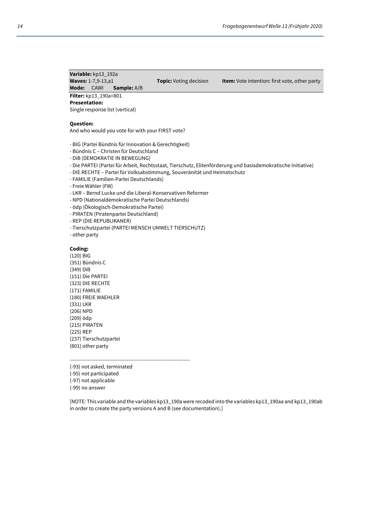**Variable:** kp13\_192a **Mode:** CAWI **Sample:** A/B

**Waves:** 1-7,9-13,a1 **Topic:** Voting decision **Item:** Vote intention: first vote, other party

**Filter:** kp13\_190a=801 **Presentation:** 

Single response list (vertical)

### **Question:**

And who would you vote for with your FIRST vote?

- BIG (Partei Bündnis für Innovation & Gerechtigkeit)
- Bündnis C Christen für Deutschland
- DiB (DEMOKRATIE IN BEWEGUNG)
- Die PARTEI (Partei für Arbeit, Rechtsstaat, Tierschutz, Elitenförderung und basisdemokratische Initiative)
- DIE RECHTE Partei für Volksabstimmung, Souveränität und Heimatschutz
- FAMILIE (Familien-Partei Deutschlands)
- Freie Wähler (FW)
- LKR Bernd Lucke und die Liberal-Konservativen Reformer
- NPD (Nationaldemokratische Partei Deutschlands)
- ödp (Ökologisch-Demokratische Partei)
- PIRATEN (Piratenpartei Deutschland)
- REP (DIE REPUBLIKANER)
- Tierschutzpartei (PARTEI MENSCH UMWELT TIERSCHUTZ)
- other party

### **Coding:**

(120) BIG (351) Bündnis C (349) DiB (151) Die PARTEI (323) DIE RECHTE (171) FAMILIE (180) FREIE WAEHLER (331) LKR (206) NPD (209) ödp (215) PIRATEN (225) REP (237) Tierschutzpartei (801) other party

----------------------------------------------------------------------

(-93) not asked, terminated

(-95) not participated

(-97) not applicable

(-99) no answer

[NOTE: This variable and the variables kp13\_190a were recoded into the variables kp13\_190aa and kp13\_190ab in order to create the party versions A and B (see documentation).]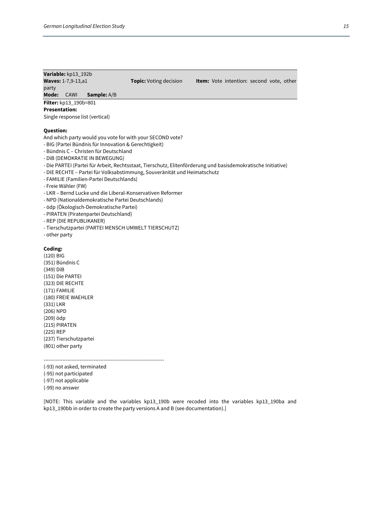### **Variable:** kp13\_192b **Waves:** 1-7,9-13,a1 **Topic:** Voting decision **Item:** Vote intention: second vote, other party **Mode:** CAWI **Sample:** A/B

### **Filter:** kp13\_190b=801

### **Presentation:**

Single response list (vertical)

### **Question:**

And which party would you vote for with your SECOND vote?

- BIG (Partei Bündnis für Innovation & Gerechtigkeit)
- Bündnis C Christen für Deutschland
- DiB (DEMOKRATIE IN BEWEGUNG)
- Die PARTEI (Partei für Arbeit, Rechtsstaat, Tierschutz, Elitenförderung und basisdemokratische Initiative)
- DIE RECHTE Partei für Volksabstimmung, Souveränität und Heimatschutz
- FAMILIE (Familien-Partei Deutschlands)
- Freie Wähler (FW)
- LKR Bernd Lucke und die Liberal-Konservativen Reformer
- NPD (Nationaldemokratische Partei Deutschlands)
- ödp (Ökologisch-Demokratische Partei)
- PIRATEN (Piratenpartei Deutschland)
- REP (DIE REPUBLIKANER)
- Tierschutzpartei (PARTEI MENSCH UMWELT TIERSCHUTZ)
- other party

### **Coding:**

(120) BIG (351) Bündnis C (349) DiB (151) Die PARTEI (323) DIE RECHTE (171) FAMILIE (180) FREIE WAEHLER (331) LKR (206) NPD (209) ödp (215) PIRATEN (225) REP (237) Tierschutzpartei (801) other party

----------------------------------------------------------------------

- (-93) not asked, terminated
- (-95) not participated
- (-97) not applicable
- (-99) no answer

[NOTE: This variable and the variables kp13\_190b were recoded into the variables kp13\_190ba and kp13\_190bb in order to create the party versions A and B (see documentation).]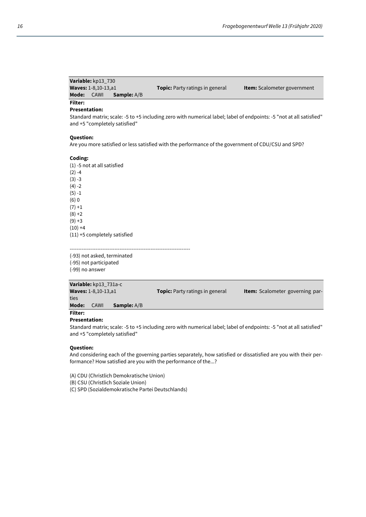| Variable: kp13 730                  |                                        |                                    |
|-------------------------------------|----------------------------------------|------------------------------------|
| <b>Waves: 1-8,10-13,a1</b>          | <b>Topic:</b> Party ratings in general | <b>Item:</b> Scalometer government |
| Mode:<br>CAWI<br><b>Sample:</b> A/B |                                        |                                    |

## **Filter:**

**Presentation:** 

Standard matrix; scale: -5 to +5 including zero with numerical label; label of endpoints: -5 "not at all satisfied" and +5 "completely satisfied"

### **Question:**

Are you more satisfied or less satisfied with the performance of the government of CDU/CSU and SPD?

### **Coding:**

(1) -5 not at all satisfied  $(2) -4$  $(3) -3$  $(4) -2$  $(5) -1$ (6) 0  $(7) + 1$  $(8) + 2$  $(9) + 3$  $(10) +4$ (11) +5 completely satisfied

(-93) not asked, terminated

(-95) not participated (-99) no answer

|                | Variable: kp13 731a-c      |                    |                                        |                                        |
|----------------|----------------------------|--------------------|----------------------------------------|----------------------------------------|
|                | <b>Waves: 1-8,10-13,a1</b> |                    | <b>Topic:</b> Party ratings in general | <b>Item:</b> Scalometer governing par- |
| ties           |                            |                    |                                        |                                        |
| Mode:          | CAWI                       | <b>Sample:</b> A/B |                                        |                                        |
| <b>Filter:</b> |                            |                    |                                        |                                        |

----------------------------------------------------------------------

### **Presentation:**

Standard matrix; scale: -5 to +5 including zero with numerical label; label of endpoints: -5 "not at all satisfied" and +5 "completely satisfied"

### **Question:**

And considering each of the governing parties separately, how satisfied or dissatisfied are you with their performance? How satisfied are you with the performance of the...?

(A) CDU (Christlich Demokratische Union)

(B) CSU (Christlich Soziale Union)

(C) SPD (Sozialdemokratische Partei Deutschlands)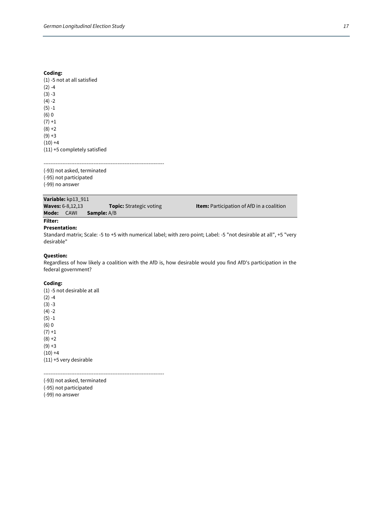(1) -5 not at all satisfied  $(2) -4$  $(3) -3$  $(4) -2$ (5) -1 (6) 0  $(7) + 1$  $(8) + 2$  $(9) + 3$  $(10) +4$ (11) +5 completely satisfied

---------------------------------------------------------------------- (-93) not asked, terminated (-95) not participated (-99) no answer

|            | Variable: kp13_911      |                                |
|------------|-------------------------|--------------------------------|
|            | <b>Waves: 6-8,12,13</b> | <b>Topic:</b> Strategic voting |
| Mode: CAWI |                         | <b>Sample:</b> A/B             |

g<sub>s</sub> **Example 12,133 Topics: <b>Item:** Participation of AfD in a coalition

### **Filter: Presentation:**

Standard matrix; Scale: -5 to +5 with numerical label; with zero point; Label: -5 "not desirable at all", +5 "very desirable"

### **Question:**

Regardless of how likely a coalition with the AfD is, how desirable would you find AfD's participation in the federal government?

### **Coding:**

(1) -5 not desirable at all  $(2) -4$ (3) -3  $(4) -2$ (5) -1 (6) 0  $(7) + 1$  $(8) + 2$  $(9) + 3$  $(10) +4$ (11) +5 very desirable

----------------------------------------------------------------------

(-93) not asked, terminated (-95) not participated (-99) no answer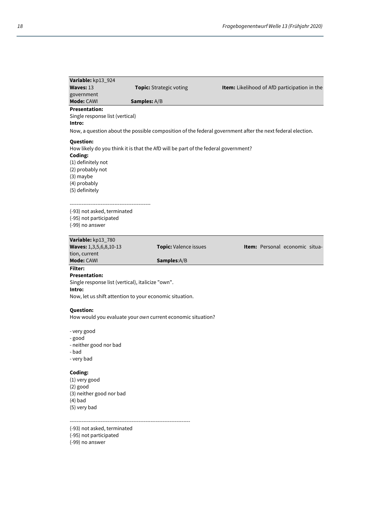| Variable: kp13_924                                          |                                                                                    |                                                                                                           |
|-------------------------------------------------------------|------------------------------------------------------------------------------------|-----------------------------------------------------------------------------------------------------------|
| Waves: 13                                                   | Topic: Strategic voting                                                            | Item: Likelihood of AfD participation in the                                                              |
| government<br>Mode: CAWI                                    | Samples: A/B                                                                       |                                                                                                           |
| <b>Presentation:</b>                                        |                                                                                    |                                                                                                           |
| Single response list (vertical)                             |                                                                                    |                                                                                                           |
| Intro:                                                      |                                                                                    |                                                                                                           |
|                                                             |                                                                                    | Now, a question about the possible composition of the federal government after the next federal election. |
|                                                             |                                                                                    |                                                                                                           |
| <b>Question:</b>                                            | How likely do you think it is that the AfD will be part of the federal government? |                                                                                                           |
| Coding:                                                     |                                                                                    |                                                                                                           |
| (1) definitely not                                          |                                                                                    |                                                                                                           |
| (2) probably not                                            |                                                                                    |                                                                                                           |
| (3) maybe                                                   |                                                                                    |                                                                                                           |
| (4) probably                                                |                                                                                    |                                                                                                           |
| (5) definitely                                              |                                                                                    |                                                                                                           |
|                                                             |                                                                                    |                                                                                                           |
| (-93) not asked, terminated                                 |                                                                                    |                                                                                                           |
| (-95) not participated                                      |                                                                                    |                                                                                                           |
| (-99) no answer                                             |                                                                                    |                                                                                                           |
| Variable: kp13_780                                          |                                                                                    |                                                                                                           |
| Waves: 1,3,5,6,8,10-13                                      | Topic: Valence issues                                                              | Item: Personal economic situa-                                                                            |
| tion, current                                               |                                                                                    |                                                                                                           |
| Mode: CAWI                                                  | Samples:A/B                                                                        |                                                                                                           |
| <b>Filter:</b>                                              |                                                                                    |                                                                                                           |
| <b>Presentation:</b>                                        |                                                                                    |                                                                                                           |
| Single response list (vertical), italicize "own".<br>Intro: |                                                                                    |                                                                                                           |
|                                                             | Now, let us shift attention to your economic situation.                            |                                                                                                           |
|                                                             |                                                                                    |                                                                                                           |
| <b>Question:</b>                                            |                                                                                    |                                                                                                           |
|                                                             | How would you evaluate your own current economic situation?                        |                                                                                                           |
| - very good                                                 |                                                                                    |                                                                                                           |
| - good                                                      |                                                                                    |                                                                                                           |
| - neither good nor bad                                      |                                                                                    |                                                                                                           |
| - bad                                                       |                                                                                    |                                                                                                           |
| - very bad                                                  |                                                                                    |                                                                                                           |
| Coding:                                                     |                                                                                    |                                                                                                           |
| (1) very good                                               |                                                                                    |                                                                                                           |
| $(2)$ good                                                  |                                                                                    |                                                                                                           |
| (3) neither good nor bad                                    |                                                                                    |                                                                                                           |
| $(4)$ bad                                                   |                                                                                    |                                                                                                           |
| (5) very bad                                                |                                                                                    |                                                                                                           |
|                                                             |                                                                                    |                                                                                                           |
| (-93) not asked, terminated                                 |                                                                                    |                                                                                                           |

(-95) not participated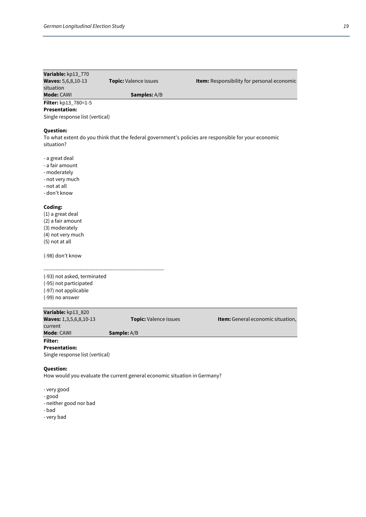| I<br>I<br>×<br>۰. |
|-------------------|

| Variable: kp13_770              |                                                                           |                                                                                                      |
|---------------------------------|---------------------------------------------------------------------------|------------------------------------------------------------------------------------------------------|
| <b>Waves:</b> 5,6,8,10-13       | Topic: Valence issues                                                     | Item: Responsibility for personal economic                                                           |
| situation                       |                                                                           |                                                                                                      |
| Mode: CAWI                      | Samples: A/B                                                              |                                                                                                      |
| Filter: kp13_780=1-5            |                                                                           |                                                                                                      |
| <b>Presentation:</b>            |                                                                           |                                                                                                      |
| Single response list (vertical) |                                                                           |                                                                                                      |
|                                 |                                                                           |                                                                                                      |
| <b>Question:</b>                |                                                                           |                                                                                                      |
| situation?                      |                                                                           | To what extent do you think that the federal government's policies are responsible for your economic |
|                                 |                                                                           |                                                                                                      |
| - a great deal                  |                                                                           |                                                                                                      |
| - a fair amount                 |                                                                           |                                                                                                      |
| - moderately                    |                                                                           |                                                                                                      |
| - not very much                 |                                                                           |                                                                                                      |
| - not at all                    |                                                                           |                                                                                                      |
| - don't know                    |                                                                           |                                                                                                      |
|                                 |                                                                           |                                                                                                      |
| Coding:                         |                                                                           |                                                                                                      |
| (1) a great deal                |                                                                           |                                                                                                      |
| (2) a fair amount               |                                                                           |                                                                                                      |
| (3) moderately                  |                                                                           |                                                                                                      |
| (4) not very much               |                                                                           |                                                                                                      |
| (5) not at all                  |                                                                           |                                                                                                      |
|                                 |                                                                           |                                                                                                      |
| (-98) don't know                |                                                                           |                                                                                                      |
| (-93) not asked, terminated     |                                                                           |                                                                                                      |
| (-95) not participated          |                                                                           |                                                                                                      |
| (-97) not applicable            |                                                                           |                                                                                                      |
| (-99) no answer                 |                                                                           |                                                                                                      |
|                                 |                                                                           |                                                                                                      |
| Variable: kp13_820              |                                                                           |                                                                                                      |
| Waves: 1,3,5,6,8,10-13          | Topic: Valence issues                                                     | Item: General economic situation,                                                                    |
| current                         |                                                                           |                                                                                                      |
| Mode: CAWI                      | Sample: A/B                                                               |                                                                                                      |
| <b>Filter:</b>                  |                                                                           |                                                                                                      |
| <b>Presentation:</b>            |                                                                           |                                                                                                      |
| Single response list (vertical) |                                                                           |                                                                                                      |
|                                 |                                                                           |                                                                                                      |
| <b>Question:</b>                | How would you evaluate the current general economic situation in Germany? |                                                                                                      |
|                                 |                                                                           |                                                                                                      |
| - very good                     |                                                                           |                                                                                                      |
| - good                          |                                                                           |                                                                                                      |
| - neither good nor bad          |                                                                           |                                                                                                      |
| - bad                           |                                                                           |                                                                                                      |
| - very bad                      |                                                                           |                                                                                                      |
|                                 |                                                                           |                                                                                                      |
|                                 |                                                                           |                                                                                                      |
|                                 |                                                                           |                                                                                                      |
|                                 |                                                                           |                                                                                                      |
|                                 |                                                                           |                                                                                                      |
|                                 |                                                                           |                                                                                                      |
|                                 |                                                                           |                                                                                                      |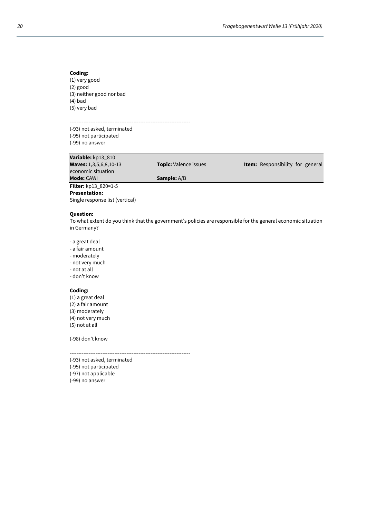(1) very good (2) good (3) neither good nor bad (4) bad (5) very bad

----------------------------------------------------------------------

(-93) not asked, terminated (-95) not participated (-99) no answer

**Variable:** kp13\_810

economic situation<br>**Mode:** CAWI

**Presentation:** 

**Sample:** A/B

**Filter:** kp13 820=1-5

**Question:** 

Single response list (vertical)

To what extent do you think that the government's policies are responsible for the general economic situation in Germany?

**Topic:** Valence issues **Item: Responsibility for general** 

- a great deal
- a fair amount
- moderately
- not very much
- not at all
- don't know

### **Coding:**

(1) a great deal (2) a fair amount (3) moderately (4) not very much (5) not at all

(-98) don't know

----------------------------------------------------------------------

- (-93) not asked, terminated
- (-95) not participated
- (-97) not applicable
- (-99) no answer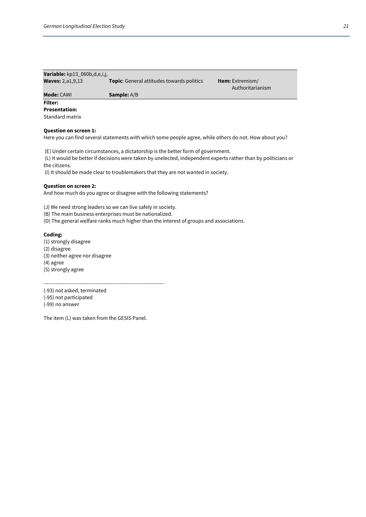| <b>Variable:</b> $kp13_060b,d,e,i,j$ |                                                  |                         |
|--------------------------------------|--------------------------------------------------|-------------------------|
| <b>Waves: 2, a1, 9, 13</b>           | <b>Topic:</b> General attitudes towards politics | <b>Item:</b> Extremism/ |
|                                      |                                                  | Authoritarianism        |
| <b>Mode: CAWI</b>                    | <b>Sample:</b> A/B                               |                         |

### **Filter: Presentation:**

Standard matrix

### **Question on screen 1:**

Here you can find several statements with which some people agree, while others do not. How about you?

(E) Under certain circumstances, a dictatorship is the better form of government.

 (L) It would be better if decisions were taken by unelected, independent experts rather than by politicians or the citizens.

(I) It should be made clear to troublemakers that they are not wanted in society.

### **Question on screen 2:**

And how much do you agree or disagree with the following statements?

(J) We need strong leaders so we can live safely in society.

(B) The main business enterprises must be nationalized.

(D) The general welfare ranks much higher than the interest of groups and associations.

### **Coding:**

(1) strongly disagree

(2) disagree

(3) neither agree nor disagree

(4) agree

(5) strongly agree

----------------------------------------------------------------------

(-93) not asked, terminated (-95) not participated

(-99) no answer

The item (L) was taken from the GESIS Panel.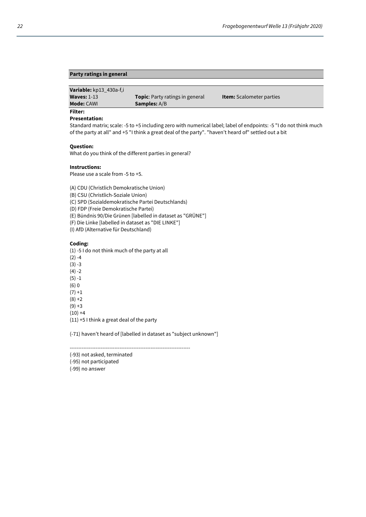### **Party ratings in general**

**Variable:** kp13\_430a-f,i

**Waves:** 1-13 **Topic**: Party ratings in general **Item:** Scalometer parties **Mode:** CAWI **Samples:** A/B **Samples:** A/B

**Filter:** 

### **Presentation:**

Standard matrix; scale: -5 to +5 including zero with numerical label; label of endpoints: -5 "I do not think much of the party at all" and +5 "I think a great deal of the party". "haven't heard of" settled out a bit

### **Question:**

What do you think of the different parties in general?

### **Instructions:**

Please use a scale from -5 to +5.

(A) CDU (Christlich Demokratische Union)

(B) CSU (Christlich-Soziale Union)

(C) SPD (Sozialdemokratische Partei Deutschlands)

(D) FDP (Freie Demokratische Partei)

(E) Bündnis 90/Die Grünen [labelled in dataset as "GRÜNE"]

(F) Die Linke [labelled in dataset as "DIE LINKE"]

(I) AfD (Alternative für Deutschland)

### **Coding:**

(1) -5 I do not think much of the party at all

 $(2) -4$ 

 $(3) -3$ 

 $(4) -2$ 

 $(5) - 1$ 

(6) 0

 $(7) + 1$ 

 $(8) + 2$  $(9) + 3$ 

 $(10) +4$ 

(11) +5 I think a great deal of the party

(-71) haven't heard of [labelled in dataset as "subject unknown"]

----------------------------------------------------------------------

(-93) not asked, terminated

(-95) not participated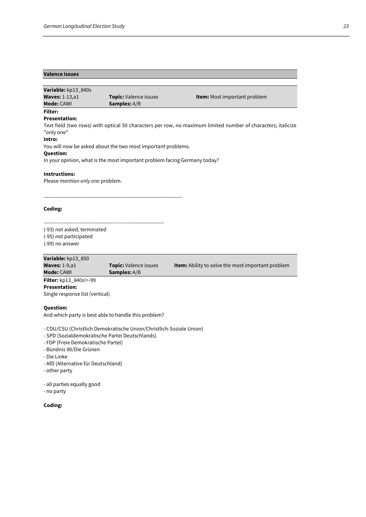### **Valence issues**

| Variable: kp13 840s    |                              |                                     |
|------------------------|------------------------------|-------------------------------------|
| <b>Waves: 1-13, a1</b> | <b>Topic:</b> Valence issues | <b>Item:</b> Most important problem |
| Mode: CAWI             | <b>Samples:</b> A/B          |                                     |
| <b>Filter:</b>         |                              |                                     |

### **Presentation:**

Text field (two rows) with optical 50 characters per row, no maximum limited number of characters; italicize "only one"

### **Intro:**

You will now be asked about the two most important problems.

\_\_\_\_\_\_\_\_\_\_\_\_\_\_\_\_\_\_\_\_\_\_\_\_\_\_\_\_\_\_\_\_\_\_\_\_\_\_\_\_\_\_\_\_\_\_\_\_\_\_

### **Question:**

In your opinion, what is the most important problem facing Germany today?

### **Instructions:**

Please mention *only one* problem.

**Coding:** 

---------------------------------------------------------------------- (-93) not asked, terminated (-95) not participated (-99) no answer

### **Variable:** kp13\_850

| <b>Adilance</b> Vhin 000<br><b>Waves: 1-9,a1</b> | <b>Topic:</b> Valence issues | <b>Item:</b> Ability to solve the most important problem |
|--------------------------------------------------|------------------------------|----------------------------------------------------------|
| <b>Mode: CAWI</b>                                | <b>Samples:</b> A/B          |                                                          |
| <b>Filter:</b> kp13_840s!=-99                    |                              |                                                          |
| <b>Presentation:</b>                             |                              |                                                          |

**Presentation:**  Single response list (vertical)

**Question:**  And which party is best able to handle this problem?

- CDU/CSU (Christlich Demokratische Union/Christlich-Soziale Union)

- SPD (Sozialdemokratische Partei Deutschlands)
- FDP (Freie Demokratische Partei)
- Bündnis 90/Die Grünen
- Die Linke
- AfD (Alternative für Deutschland)
- other party

- all parties equally good

- no party

### **Coding:**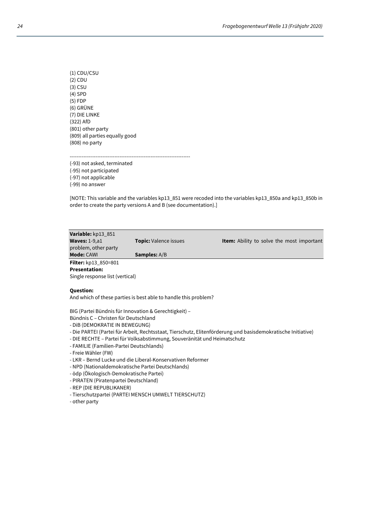(1) CDU/CSU (2) CDU (3) CSU (4) SPD (5) FDP (6) GRÜNE (7) DIE LINKE (322) AfD (801) other party (809) all parties equally good (808) no party

---------------------------------------------------------------------- (-93) not asked, terminated (-95) not participated (-97) not applicable (-99) no answer

[NOTE: This variable and the variables kp13\_851 were recoded into the variables kp13\_850a and kp13\_850b in order to create the party versions A and B (see documentation).]

| Variable: kp13_851                            |                              |                                                  |
|-----------------------------------------------|------------------------------|--------------------------------------------------|
| <b>Waves: 1-9, a1</b><br>problem, other party | <b>Topic:</b> Valence issues | <b>Item:</b> Ability to solve the most important |
|                                               |                              |                                                  |
| <b>Mode: CAWI</b>                             | <b>Samples:</b> A/B          |                                                  |
| Filter: kp13_850=801                          |                              |                                                  |
| <b>Presentation:</b>                          |                              |                                                  |
| Single response list (vertical)               |                              |                                                  |

### **Question:**

And which of these parties is best able to handle this problem?

BIG (Partei Bündnis für Innovation & Gerechtigkeit) –

Bündnis C – Christen für Deutschland

- DiB (DEMOKRATIE IN BEWEGUNG)
- Die PARTEI (Partei für Arbeit, Rechtsstaat, Tierschutz, Elitenförderung und basisdemokratische Initiative)
- DIE RECHTE Partei für Volksabstimmung, Souveränität und Heimatschutz
- FAMILIE (Familien-Partei Deutschlands)
- Freie Wähler (FW)
- LKR Bernd Lucke und die Liberal-Konservativen Reformer
- NPD (Nationaldemokratische Partei Deutschlands)
- ödp (Ökologisch-Demokratische Partei)
- PIRATEN (Piratenpartei Deutschland)
- REP (DIE REPUBLIKANER)
- Tierschutzpartei (PARTEI MENSCH UMWELT TIERSCHUTZ)
- other party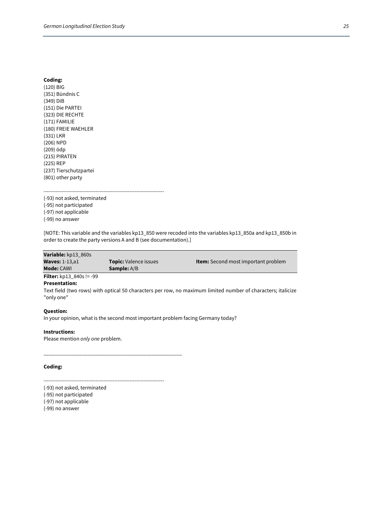(120) BIG (351) Bündnis C (349) DiB (151) Die PARTEI (323) DIE RECHTE (171) FAMILIE (180) FREIE WAEHLER (331) LKR (206) NPD (209) ödp (215) PIRATEN (225) REP (237) Tierschutzpartei (801) other party

----------------------------------------------------------------------

(-93) not asked, terminated (-95) not participated (-97) not applicable (-99) no answer

[NOTE: This variable and the variables kp13\_850 were recoded into the variables kp13\_850a and kp13\_850b in order to create the party versions A and B (see documentation).]

| Variable: kp13 860s             |                              |                                            |
|---------------------------------|------------------------------|--------------------------------------------|
| <b>Waves: 1-13, a1</b>          | <b>Topic:</b> Valence issues | <b>Item:</b> Second most important problem |
| <b>Mode: CAWI</b>               | <b>Sample:</b> A/B           |                                            |
| <b>Filter:</b> $kp13_840s!=-99$ |                              |                                            |

### **Presentation:**

Text field (two rows) with optical 50 characters per row, no maximum limited number of characters; italicize "only one"

### **Question:**

In your opinion, what is the second most important problem facing Germany today?

### **Instructions:**

Please mention *only one* problem.

### **Coding:**

----------------------------------------------------------------------

\_\_\_\_\_\_\_\_\_\_\_\_\_\_\_\_\_\_\_\_\_\_\_\_\_\_\_\_\_\_\_\_\_\_\_\_\_\_\_\_\_\_\_\_\_\_\_\_\_\_

- (-93) not asked, terminated
- (-95) not participated
- (-97) not applicable
- (-99) no answer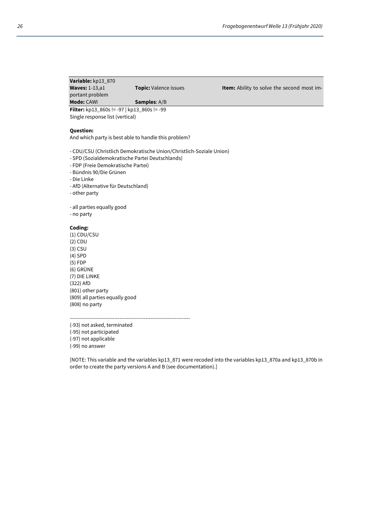### **Variable:** kp13\_870 **Waves:** 1-13,a1 **Topic:** Valence issues **Item:** Ability to solve the second most important problem **Mode:** CAWI **Samples**: A/B

**Filter:** kp13\_860s != -97 | kp13\_860s != -99 Single response list (vertical)

### **Question:**

And which party is best able to handle this problem?

- CDU/CSU (Christlich Demokratische Union/Christlich-Soziale Union)
- SPD (Sozialdemokratische Partei Deutschlands)
- FDP (Freie Demokratische Partei)
- Bündnis 90/Die Grünen
- Die Linke
- AfD (Alternative für Deutschland)
- other party

- all parties equally good

- no party

### **Coding:**

(1) CDU/CSU (2) CDU (3) CSU (4) SPD (5) FDP (6) GRÜNE (7) DIE LINKE (322) AfD (801) other party (809) all parties equally good (808) no party

----------------------------------------------------------------------

(-93) not asked, terminated

(-95) not participated

(-97) not applicable

(-99) no answer

[NOTE: This variable and the variables kp13\_871 were recoded into the variables kp13\_870a and kp13\_870b in order to create the party versions A and B (see documentation).]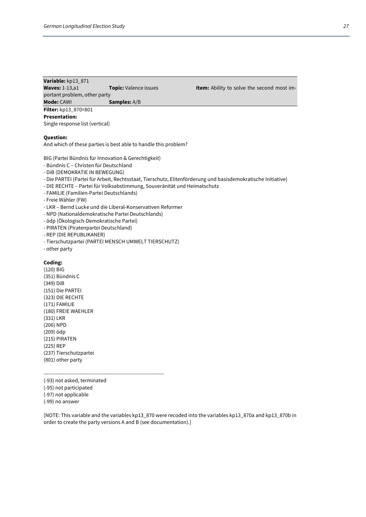### **Variable:** kp13\_871 **Waves:** 1-13,a1 **Topic:** Valence issues **Item:** Ability to solve the second most important problem, other party **Mode:** CAWI **Samples:** A/B

**Filter:** kp13\_870=801 **Presentation:**  Single response list (vertical)

**Question:** 

And which of these parties is best able to handle this problem?

BIG (Partei Bündnis für Innovation & Gerechtigkeit)

- Bündnis C Christen für Deutschland
- DiB (DEMOKRATIE IN BEWEGUNG)
- Die PARTEI (Partei für Arbeit, Rechtsstaat, Tierschutz, Elitenförderung und basisdemokratische Initiative)
- DIE RECHTE Partei für Volksabstimmung, Souveränität und Heimatschutz
- FAMILIE (Familien-Partei Deutschlands)
- Freie Wähler (FW)
- LKR Bernd Lucke und die Liberal-Konservativen Reformer
- NPD (Nationaldemokratische Partei Deutschlands)
- ödp (Ökologisch-Demokratische Partei)
- PIRATEN (Piratenpartei Deutschland)
- REP (DIE REPUBLIKANER)
- Tierschutzpartei (PARTEI MENSCH UMWELT TIERSCHUTZ)
- other party

### **Coding:**

(120) BIG (351) Bündnis C (349) DiB (151) Die PARTEI (323) DIE RECHTE (171) FAMILIE (180) FREIE WAEHLER (331) LKR (206) NPD (209) ödp (215) PIRATEN (225) REP (237) Tierschutzpartei (801) other party

----------------------------------------------------------------------

- (-93) not asked, terminated (-95) not participated
- (-97) not applicable

(-99) no answer

[NOTE: This variable and the variables kp13\_870 were recoded into the variables kp13\_870a and kp13\_870b in order to create the party versions A and B (see documentation).]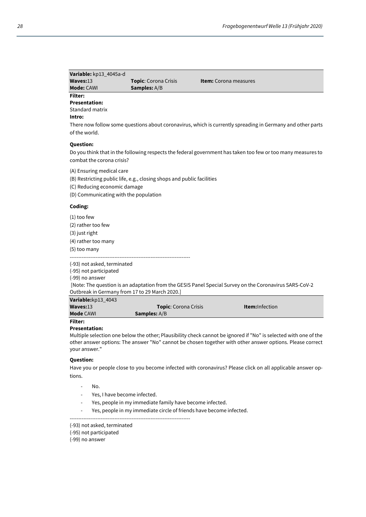| Variable: kp13_4045a-d |                             |                              |
|------------------------|-----------------------------|------------------------------|
| Waves:13               | <b>Topic:</b> Corona Crisis | <b>Item:</b> Corona measures |
| <b>Mode: CAWI</b>      | <b>Samples:</b> A/B         |                              |

### **Filter: Presentation:**

Standard matrix

### **Intro:**

There now follow some questions about coronavirus, which is currently spreading in Germany and other parts of the world.

### **Question:**

Do you think that in the following respects the federal government has taken too few or too many measures to combat the corona crisis?

(A) Ensuring medical care

(B) Restricting public life, e.g., closing shops and public facilities

- (C) Reducing economic damage
- (D) Communicating with the population

### **Coding:**

- (1) too few
- (2) rather too few
- (3) just right
- (4) rather too many
- (5) too many

----------------------------------------------------------------------

(-93) not asked, terminated

(-95) not participated

(-99) no answer

 [Note: The question is an adaptation from the GESIS Panel Special Survey on the Coronavirus SARS-CoV-2 Outbreak in Germany from 17 to 29 March 2020.] **Variable:**kp13\_4043

| <b>variable:</b> KD13_4043 |                             |                        |  |
|----------------------------|-----------------------------|------------------------|--|
| Waves: 13                  | <b>Topic:</b> Corona Crisis | <b>Item:</b> Infection |  |
| <b>Mode CAWI</b>           | <b>Samples:</b> A/B         |                        |  |
| Filter <sup>.</sup>        |                             |                        |  |

### **Presentation:**

Multiple selection one below the other; Plausibility check cannot be ignored if "No" is selected with one of the other answer options: The answer "No" cannot be chosen together with other answer options. Please correct your answer."

### **Question:**

Have you or people close to you become infected with coronavirus? Please click on all applicable answer options.

- No.
- Yes, I have become infected.
- Yes, people in my immediate family have become infected.
- Yes, people in my immediate circle of friends have become infected.
- ----------------------------------------------------------------------

<sup>(-93)</sup> not asked, terminated

<sup>(-95)</sup> not participated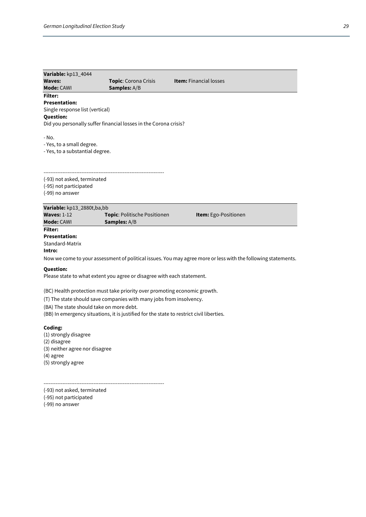| Variable: kp13_4044<br><b>Waves:</b><br><b>Mode: CAWI</b>                                                             | <b>Topic:</b> Corona Crisis<br>Samples: A/B                                                                                                                                                                                                  | <b>Item:</b> Financial losses                                                                                 |
|-----------------------------------------------------------------------------------------------------------------------|----------------------------------------------------------------------------------------------------------------------------------------------------------------------------------------------------------------------------------------------|---------------------------------------------------------------------------------------------------------------|
| Filter:<br><b>Presentation:</b><br>Single response list (vertical)<br>Question:                                       | Did you personally suffer financial losses in the Corona crisis?                                                                                                                                                                             |                                                                                                               |
| - No.<br>- Yes, to a small degree.<br>- Yes, to a substantial degree.                                                 |                                                                                                                                                                                                                                              |                                                                                                               |
| (-93) not asked, terminated<br>(-95) not participated<br>(-99) no answer                                              |                                                                                                                                                                                                                                              |                                                                                                               |
| Variable: kp13_2880t,ba,bb<br><b>Waves: 1-12</b><br>Mode: CAWI                                                        | Topic: Politische Positionen<br><b>Samples:</b> $A/B$                                                                                                                                                                                        | Item: Ego-Positionen                                                                                          |
| Filter:<br><b>Presentation:</b><br>Standard-Matrix<br>Intro:                                                          |                                                                                                                                                                                                                                              | Now we come to your assessment of political issues. You may agree more or less with the following statements. |
| Question:                                                                                                             | Please state to what extent you agree or disagree with each statement.                                                                                                                                                                       |                                                                                                               |
| (BA) The state should take on more debt.                                                                              | (BC) Health protection must take priority over promoting economic growth.<br>(T) The state should save companies with many jobs from insolvency.<br>(BB) In emergency situations, it is justified for the state to restrict civil liberties. |                                                                                                               |
| Coding:<br>(1) strongly disagree<br>(2) disagree<br>(3) neither agree nor disagree<br>(4) agree<br>(5) strongly agree |                                                                                                                                                                                                                                              |                                                                                                               |

(-93) not asked, terminated

----------------------------------------------------------------------

(-95) not participated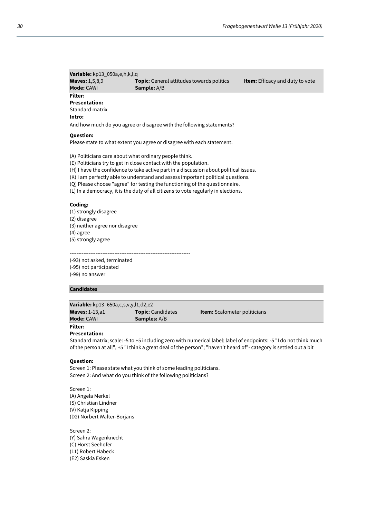**Variable:** kp13\_050a,e,h,k,l,q **Waves:** 1,5,8,9 **Topic**: General attitudes towards politics **Item:** Efficacy and duty to vote **Mode:** CAWI **Sample:** A/B **Filter: Presentation:** 

Standard matrix

### **Intro:**

And how much do you agree or disagree with the following statements?

### **Question:**

Please state to what extent you agree or disagree with each statement.

(A) Politicians care about what ordinary people think.

----------------------------------------------------------------------

(E) Politicians try to get in close contact with the population.

(H) I have the confidence to take active part in a discussion about political issues.

(K) I am perfectly able to understand and assess important political questions.

(Q) Please choose "agree" for testing the functioning of the questionnaire.

(L) In a democracy, it is the duty of all citizens to vote regularly in elections.

### **Coding:**

(1) strongly disagree (2) disagree (3) neither agree nor disagree (4) agree (5) strongly agree

(-93) not asked, terminated (-95) not participated (-99) no answer

### **Candidates**

| <b>Variable:</b> kp13_650a,c,s,v,y,l1,d2,e2 |                          |                                     |
|---------------------------------------------|--------------------------|-------------------------------------|
| Waves: $1-13, a1$                           | <b>Topic:</b> Candidates | <b>Item:</b> Scalometer politicians |
| <b>Mode: CAWL</b>                           | <b>Samples:</b> A/B      |                                     |

### **Filter:**

**Presentation:** 

Standard matrix; scale: -5 to +5 including zero with numerical label; label of endpoints: -5 "I do not think much of the person at all", +5 "I think a great deal of the person"; "haven't heard of"- category is settled out a bit

### **Question:**

Screen 1: Please state what you think of some leading politicians. Screen 2: And what do you think of the following politicians?

Screen 1: (A) Angela Merkel (S) Christian Lindner (V) Katja Kipping (D2) Norbert Walter-Borjans

Screen 2: (Y) Sahra Wagenknecht (C) Horst Seehofer (L1) Robert Habeck (E2) Saskia Esken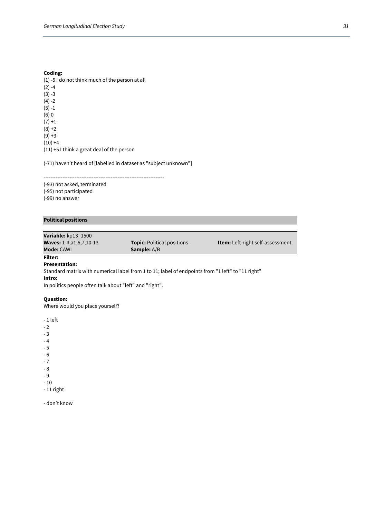(1) -5 I do not think much of the person at all  $(2) -4$  $(3) -3$  $(4) -2$ (5) -1 (6) 0  $(7) + 1$  $(8) + 2$  $(9) + 3$  $(10) +4$ (11) +5 I think a great deal of the person

(-71) haven't heard of [labelled in dataset as "subject unknown"]

---------------------------------------------------------------------- (-93) not asked, terminated (-95) not participated (-99) no answer

### **Political positions**

### **Variable:** kp13\_1500

**Mode:** CAWI **Sample:** A/B

**Waves:** 1-4,a1,6,7,10-13 **Topic:** Political positions **Item:** Left-right self-assessment

### **Filter:**

### **Presentation:**

Standard matrix with numerical label from 1 to 11; label of endpoints from "1 left" to "11 right" **Intro:** 

In politics people often talk about "left" and "right".

### **Question:**

Where would you place yourself?

- 1 left

 $-2$ 

- 3

- 4

- 5

- 6 - 7

- 8

- 9

- 10

- 11 right

- don't know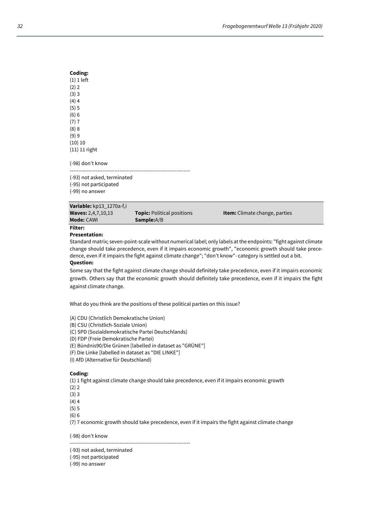(-98) don't know ----------------------------------------------------------------------

(-93) not asked, terminated (-95) not participated (-99) no answer

| <b>Mode: CAWI</b>         | <b>Sample:</b> A/B                |                                      |
|---------------------------|-----------------------------------|--------------------------------------|
| <b>Waves: 2,4,7,10,13</b> | <b>Topic:</b> Political positions | <b>Item:</b> Climate change, parties |
| Variable: kp13_1270a-f,i  |                                   |                                      |

### **Filter:**

### **Presentation:**

Standard matrix; seven-point-scale without numerical label; only labels at the endpoints: "fight against climate change should take precedence, even if it impairs economic growth", "economic growth should take precedence, even if it impairs the fight against climate change"; "don't know"- category is settled out a bit.

### **Question:**

Some say that the fight against climate change should definitely take precedence, even if it impairs economic growth. Others say that the economic growth should definitely take precedence, even if it impairs the fight against climate change.

What do you think are the positions of these political parties on this issue?

(A) CDU (Christlich Demokratische Union)

(B) CSU (Christlich-Soziale Union)

(C) SPD (Sozialdemokratische Partei Deutschlands)

(D) FDP (Freie Demokratische Partei)

(E) Bündnis90/Die Grünen [labelled in dataset as "GRÜNE"]

(F) Die Linke [labelled in dataset as "DIE LINKE"]

(I) AfD (Alternative für Deutschland)

### **Coding:**

(1) 1 fight against climate change should take precedence, even if it impairs economic growth

(2) 2

(3) 3

- $(4)4$
- (5) 5

(6) 6

(7) 7 economic growth should take precedence, even if it impairs the fight against climate change

(-98) don't know

----------------------------------------------------------------------

(-93) not asked, terminated

(-95) not participated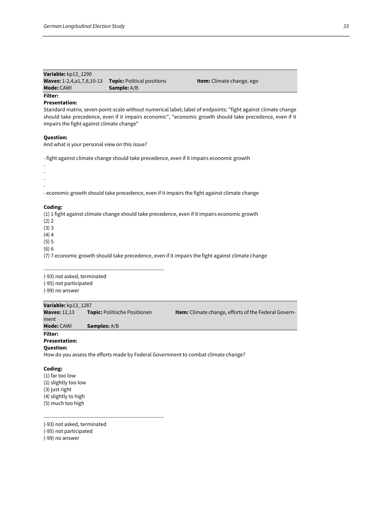| Variable: kp13 1290              |                                   |                                  |
|----------------------------------|-----------------------------------|----------------------------------|
| <b>Waves: 1-2,4,a1,7,8,10-13</b> | <b>Topic:</b> Political positions | <b>Item:</b> Climate change, ego |
| <b>Mode:</b> CAWI                | <b>Sample:</b> A/B                |                                  |

### **Presentation:**

**Filter:** 

Standard matrix; seven-point-scale without numerical label; label of endpoints: "fight against climate change should take precedence, even if it impairs economic", "economic growth should take precedence, even if it impairs the fight against climate change"

### **Question:**

And what is your personal view on this issue?

- fight against climate change should take precedence, even if it impairs economic growth

-

- -
- -

- economic growth should take precedence, even if it impairs the fight against climate change

### **Coding:**

(1) 1 fight against climate change should take precedence, even if it impairs economic growth

(2) 2

(3) 3

 $(4)4$ 

(5) 5 (6) 6

(7) 7 economic growth should take precedence, even if it impairs the fight against climate change

----------------------------------------------------------------------

(-93) not asked, terminated (-95) not participated

(-99) no answer

### **Variable:** kp13\_1287 **Waves:** 12,13 **Topic:** Politische Positionen **Item:** Climate change, efforts of the Federal Government **Mode:** CAWI **Samples:** A/B

**Filter:** 

### **Presentation: Question:**

How do you assess the efforts made by Federal Government to combat climate change?

### **Coding:**

(1) far too low (2) slightly too low (3) just right (4) slightly to high (5) much too high

----------------------------------------------------------------------

(-93) not asked, terminated

(-95) not participated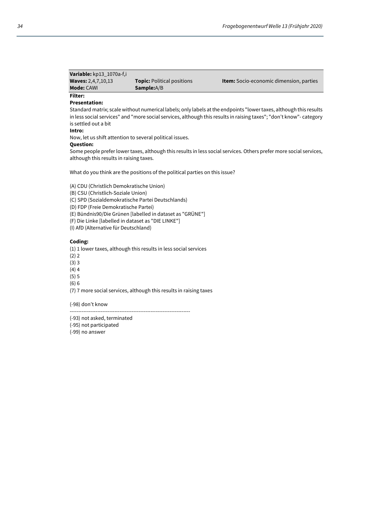| Variable: kp13_1070a-f,i  |                                   |                                                |
|---------------------------|-----------------------------------|------------------------------------------------|
| <b>Waves:</b> 2,4,7,10,13 | <b>Topic:</b> Political positions | <b>Item:</b> Socio-economic dimension, parties |
| <b>Mode:</b> CAWI         | <b>Sample:</b> A/B                |                                                |

### **Filter: Presentation:**

Standard matrix; scale without numerical labels; only labels at the endpoints "lower taxes, although this results in less social services" and "more social services, although this results in raising taxes"; "don't know"- category is settled out a bit

**Intro:** 

Now, let us shift attention to several political issues.

### **Question:**

Some people prefer lower taxes, although this results in less social services. Others prefer more social services, although this results in raising taxes.

What do you think are the positions of the political parties on this issue?

(A) CDU (Christlich Demokratische Union)

(B) CSU (Christlich-Soziale Union)

(C) SPD (Sozialdemokratische Partei Deutschlands)

(D) FDP (Freie Demokratische Partei)

(E) Bündnis90/Die Grünen [labelled in dataset as "GRÜNE"]

(F) Die Linke [labelled in dataset as "DIE LINKE"]

(I) AfD (Alternative für Deutschland)

### **Coding:**

(1) 1 lower taxes, although this results in less social services

- (2) 2
- (3) 3
- (4) 4
- (5) 5
- (6) 6

(7) 7 more social services, although this results in raising taxes

----------------------------------------------------------------------

(-98) don't know

(-93) not asked, terminated

(-95) not participated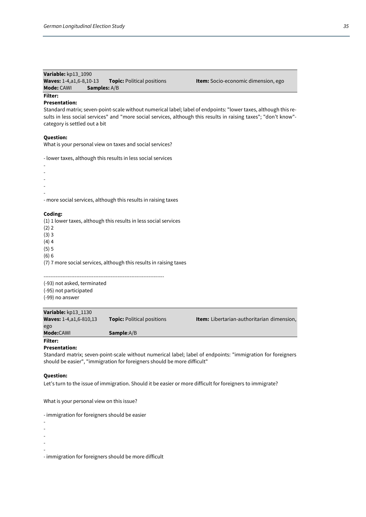### **Variable:** kp13\_1090

| <b>Waves:</b> $1-4, a1, 6-8, 10-13$ | <b>Topic: Political positions</b> |
|-------------------------------------|-----------------------------------|
| Mode: CAWI<br><b>Samples:</b> A/B   |                                   |

**Item:** Socio-economic dimension, ego

### **Filter:**

### **Presentation:**

Standard matrix; seven-point-scale without numerical label; label of endpoints: "lower taxes, although this results in less social services" and "more social services, although this results in raising taxes"; "don't know" category is settled out a bit

### **Question:**

What is your personal view on taxes and social services?

- lower taxes, although this results in less social services

- - - - - - more social services, although this results in raising taxes

### **Coding:**

(1) 1 lower taxes, although this results in less social services

 $(2) 2$ 

(3) 3

 $(4)$  4

(5) 5 (6) 6

(7) 7 more social services, although this results in raising taxes

----------------------------------------------------------------------

(-93) not asked, terminated (-95) not participated (-99) no answer

### **Variable:** kp13\_1130

| <b>Waves: 1-4, a1, 6-810, 13</b> | <b>Topic:</b> Political positions | <b>Item:</b> Libertarian-authoritarian dimension, |
|----------------------------------|-----------------------------------|---------------------------------------------------|
| ego                              |                                   |                                                   |
| Mode:CAWI                        | <b>Sample:</b> A/B                |                                                   |
| Filter:                          |                                   |                                                   |

### **Presentation:**

Standard matrix; seven-point-scale without numerical label; label of endpoints: "immigration for foreigners should be easier", "immigration for foreigners should be more difficult"

### **Question:**

Let's turn to the issue of immigration. Should it be easier or more difficult for foreigners to immigrate?

What is your personal view on this issue?

- immigration for foreigners should be easier

-

-

-

- -

- immigration for foreigners should be more difficult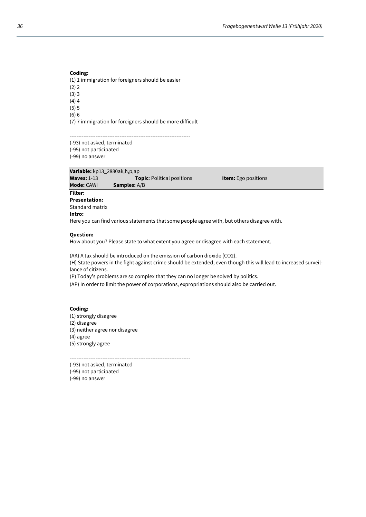(1) 1 immigration for foreigners should be easier

(2) 2 (3) 3

 $(4)$  4 (5) 5

(6) 6

(7) 7 immigration for foreigners should be more difficult

----------------------------------------------------------------------

(-93) not asked, terminated

(-95) not participated

(-99) no answer

**Variable:** kp13\_2880ak,h,p,ap **Waves:** 1-13 **Topic**: Political positions **Item:** Ego positions **Mode:** CAWI **Samples:** A/B **Samples:** A/B **Filter: Presentation:** Standard matrix

### **Intro:**

Here you can find various statements that some people agree with, but others disagree with.

### **Question:**

How about you? Please state to what extent you agree or disagree with each statement.

(AK) A tax should be introduced on the emission of carbon dioxide (CO2).

(H) State powers in the fight against crime should be extended, even though this will lead to increased surveillance of citizens.

(P) Today's problems are so complex that they can no longer be solved by politics.

(AP) In order to limit the power of corporations, expropriations should also be carried out.

### **Coding:**

(1) strongly disagree (2) disagree (3) neither agree nor disagree (4) agree (5) strongly agree

----------------------------------------------------------------------

(-93) not asked, terminated

(-95) not participated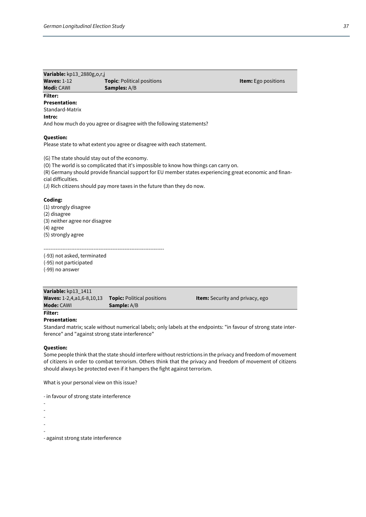### **Variable:** kp13\_2880g,o,r,j **Waves:** 1-12 **Topic**: Political positions **Item:** Ego positions **Modi: CAWI Samples: A/B Filter: Presentation:**

Standard-Matrix

### **Intro:**

And how much do you agree or disagree with the following statements?

### **Question:**

Please state to what extent you agree or disagree with each statement.

(G) The state should stay out of the economy.

(O) The world is so complicated that it's impossible to know how things can carry on.

----------------------------------------------------------------------

(R) Germany should provide financial support for EU member states experiencing great economic and financial difficulties.

(J) Rich citizens should pay more taxes in the future than they do now.

### **Coding:**

(1) strongly disagree (2) disagree (3) neither agree nor disagree (4) agree (5) strongly agree

### (-93) not asked, terminated

(-95) not participated (-99) no answer

| Variable: kp13 1411              |                                   |                                        |  |
|----------------------------------|-----------------------------------|----------------------------------------|--|
| <b>Waves:</b> 1-2,4,a1,6-8,10,13 | <b>Topic:</b> Political positions | <b>Item:</b> Security and privacy, ego |  |
| <b>Mode:</b> CAWI                | <b>Sample:</b> A/B                |                                        |  |

## **Filter:**

**Presentation:** 

Standard matrix; scale without numerical labels; only labels at the endpoints: "in favour of strong state interference" and "against strong state interference"

### **Question:**

Some people think that the state should interfere without restrictions in the privacy and freedom of movement of citizens in order to combat terrorism. Others think that the privacy and freedom of movement of citizens should always be protected even if it hampers the fight against terrorism.

What is your personal view on this issue?

- in favour of strong state interference

- -
- -
- -
- -
- -

- against strong state interference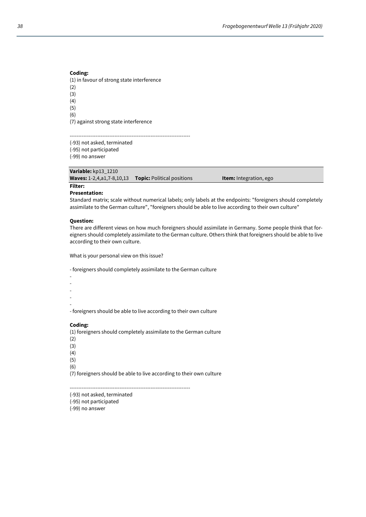### **Coding:**  (1) in favour of strong state interference (2) (3) (4) (5) (6)

(7) against strong state interference

----------------------------------------------------------------------

(-93) not asked, terminated (-95) not participated

(-99) no answer

### **Variable:** kp13\_1210

**Waves:** 1-2,4,a1,7-8,10,13 **Topic:** Political positions **Item:** Integration, ego

### **Filter: Presentation:**

Standard matrix; scale without numerical labels; only labels at the endpoints: "foreigners should completely assimilate to the German culture", "foreigners should be able to live according to their own culture"

### **Question:**

There are different views on how much foreigners should assimilate in Germany. Some people think that foreigners should completely assimilate to the German culture. Others think that foreigners should be able to live according to their own culture.

What is your personal view on this issue?

- foreigners should completely assimilate to the German culture

- -
- -
- -
- -

- foreigners should be able to live according to their own culture

### **Coding:**

(1) foreigners should completely assimilate to the German culture

- (2)
- (3)
- (4)
- (5)
- (6)

(7) foreigners should be able to live according to their own culture

----------------------------------------------------------------------

(-93) not asked, terminated (-95) not participated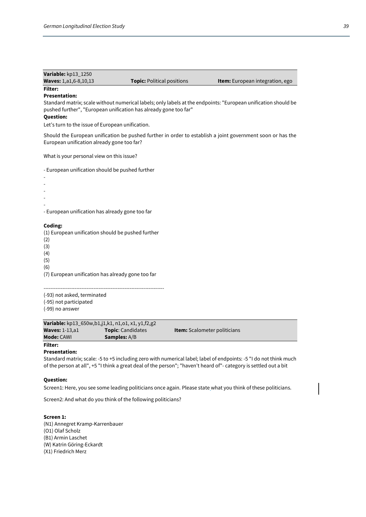| Variable: kp13 1250          |                                   |                                        |
|------------------------------|-----------------------------------|----------------------------------------|
| <b>Waves: 1,a1,6-8,10,13</b> | <b>Topic:</b> Political positions | <b>Item:</b> European integration, ego |
| Filter:                      |                                   |                                        |

### **Presentation:**

Standard matrix; scale without numerical labels; only labels at the endpoints: "European unification should be pushed further", "European unification has already gone too far"

### **Question:**

Let's turn to the issue of European unification.

Should the European unification be pushed further in order to establish a joint government soon or has the European unification already gone too far?

What is your personal view on this issue?

- European unification should be pushed further

- - - - - - European unification has already gone too far

### **Coding:**

(1) European unification should be pushed further (2) (3) (4) (5) (6) (7) European unification has already gone too far

---------------------------------------------------------------------- (-93) not asked, terminated (-95) not participated (-99) no answer

| Variable: kp13_650w,b1,j1,k1, n1,o1, x1, y1,f2,g2 |                          |                                     |
|---------------------------------------------------|--------------------------|-------------------------------------|
| <b>Waves: 1-13, a1</b>                            | <b>Topic: Candidates</b> | <b>Item:</b> Scalometer politicians |
| <b>Mode:</b> CAWI                                 | <b>Samples:</b> A/B      |                                     |
| <b>Filter:</b>                                    |                          |                                     |

### **Presentation:**

Standard matrix; scale: -5 to +5 including zero with numerical label; label of endpoints: -5 "I do not think much of the person at all", +5 "I think a great deal of the person"; "haven't heard of"- category is settled out a bit

### **Question:**

Screen1: Here, you see some leading politicians once again. Please state what you think of these politicians.

Screen2: And what do you think of the following politicians?

### **Screen 1:**

(N1) Annegret Kramp-Karrenbauer (O1) Olaf Scholz (B1) Armin Laschet (W) Katrin Göring-Eckardt (X1) Friedrich Merz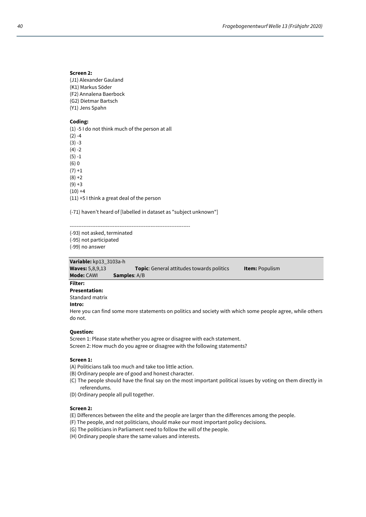### **Screen 2:**

- (J1) Alexander Gauland (K1) Markus Söder (F2) Annalena Baerbock
- (G2) Dietmar Bartsch
- (Y1) Jens Spahn

### **Coding:**

(1) -5 I do not think much of the person at all  $(2) -4$  $(3) -3$  $(4) -2$ (5) -1 (6) 0  $(7) + 1$  $(8) + 2$  $(9) + 3$  $(10) +4$ (11) +5 I think a great deal of the person

(-71) haven't heard of [labelled in dataset as "subject unknown"]

----------------------------------------------------------------------

(-93) not asked, terminated

(-95) not participated

(-99) no answer

### **Variable:** kp13\_3103a-h

| <b>Waves: 5,8,9,13</b> | <b>Topic:</b> General attitudes towards politics                                                          | <b>Item: Populism</b> |
|------------------------|-----------------------------------------------------------------------------------------------------------|-----------------------|
| <b>Mode: CAWI</b>      | <b>Samples:</b> A/B                                                                                       |                       |
| Filter:                |                                                                                                           |                       |
| <b>Presentation:</b>   |                                                                                                           |                       |
| Standard matrix        |                                                                                                           |                       |
| Intro:                 |                                                                                                           |                       |
| do not.                | Here you can find some more statements on politics and society with which some people agree, while others |                       |

### **Question:**

Screen 1: Please state whether you agree or disagree with each statement. Screen 2: How much do you agree or disagree with the following statements?

### **Screen 1:**

- (A) Politicians talk too much and take too little action.
- (B) Ordinary people are of good and honest character.
- (C) The people should have the final say on the most important political issues by voting on them directly in referendums.
- (D) Ordinary people all pull together.

### **Screen 2:**

(E) Differences between the elite and the people are larger than the differences among the people.

- (F) The people, and not politicians, should make our most important policy decisions.
- (G) The politicians in Parliament need to follow the will of the people.
- (H) Ordinary people share the same values and interests.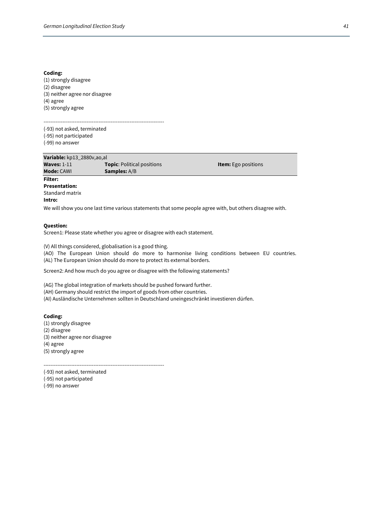(1) strongly disagree (2) disagree (3) neither agree nor disagree (4) agree (5) strongly agree

---------------------------------------------------------------------- (-93) not asked, terminated (-95) not participated (-99) no answer

| Variable: kp13_2880v,ao,al |                                   |                            |  |
|----------------------------|-----------------------------------|----------------------------|--|
| <b>Waves: 1-11</b>         | <b>Topic:</b> Political positions | <b>Item:</b> Ego positions |  |
| <b>Mode: CAWI</b>          | <b>Samples:</b> A/B               |                            |  |
| <b>Filter:</b>             |                                   |                            |  |
| <b>Presentation:</b>       |                                   |                            |  |

Standard matrix **Intro:** 

We will show you one last time various statements that some people agree with, but others disagree with.

### **Question:**

Screen1: Please state whether you agree or disagree with each statement.

(V) All things considered, globalisation is a good thing.

(AO) The European Union should do more to harmonise living conditions between EU countries. (AL) The European Union should do more to protect its external borders.

Screen2: And how much do you agree or disagree with the following statements?

(AG) The global integration of markets should be pushed forward further.

(AH) Germany should restrict the import of goods from other countries.

(AI) Ausländische Unternehmen sollten in Deutschland uneingeschränkt investieren dürfen.

### **Coding:**

(1) strongly disagree (2) disagree (3) neither agree nor disagree (4) agree (5) strongly agree

----------------------------------------------------------------------

(-93) not asked, terminated

(-95) not participated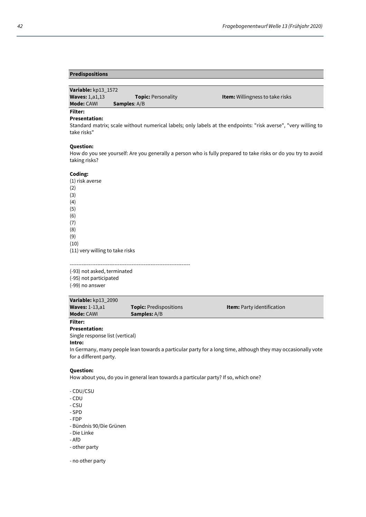### **Predispositions**

| Variable: kp13 1572     |                           |                                        |
|-------------------------|---------------------------|----------------------------------------|
| <b>Waves: 1, a1, 13</b> | <b>Topic: Personality</b> | <b>Item:</b> Willingness to take risks |
| <b>Mode:</b> CAWI       | <b>Samples:</b> A/B       |                                        |
| Filter:                 |                           |                                        |

#### **Presentation:**

Standard matrix; scale without numerical labels; only labels at the endpoints: "risk averse", "very willing to take risks"

### **Question:**

How do you see yourself: Are you generally a person who is fully prepared to take risks or do you try to avoid taking risks?

### **Coding:**

(1) risk averse (2) (3) (4) (5) (6) (7) (8) (9) (10) (11) very willing to take risks

---------------------------------------------------------------------- (-93) not asked, terminated (-95) not participated (-99) no answer

**Variable:** kp13\_2090 **Waves:** 1-13,a1 **Topic:** Predispositions **Item:** Party identification **Mode: CAWI Samples: A/B** 

### **Filter: Presentation:**

Single response list (vertical)

**Intro:** 

In Germany, many people lean towards a particular party for a long time, although they may occasionally vote for a different party.

### **Question:**

How about you, do you in general lean towards a particular party? If so, which one?

- CDU/CSU
- CDU
- CSU
- SPD
- FDP
- Bündnis 90/Die Grünen
- Die Linke
- AfD
- other party

- no other party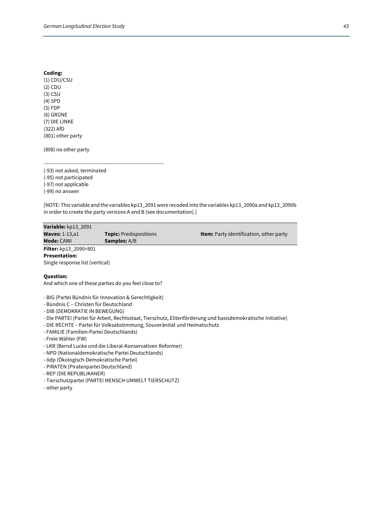(1) CDU/CSU (2) CDU (3) CSU (4) SPD (5) FDP (6) GRÜNE (7) DIE LINKE (322) AfD (801) other party

(808) no other party

---------------------------------------------------------------------- (-93) not asked, terminated (-95) not participated (-97) not applicable (-99) no answer

[NOTE: This variable and the variables kp13\_2091 were recoded into the variables kp13\_2090a and kp13\_2090b in order to create the party versions A and B (see documentation).]

| Variable: kp13 2091             |                               |                                                |
|---------------------------------|-------------------------------|------------------------------------------------|
| <b>Waves: 1-13, a1</b>          | <b>Topic:</b> Predispositions | <b>Item:</b> Party identification, other party |
| <b>Mode: CAWL</b>               | <b>Samples:</b> A/B           |                                                |
| Filter: kp13 2090=801           |                               |                                                |
| <b>Presentation:</b>            |                               |                                                |
| Single response list (vertical) |                               |                                                |
|                                 |                               |                                                |

### **Question:**

And which one of these parties do you feel close to?

- BIG (Partei Bündnis für Innovation & Gerechtigkeit)
- Bündnis C Christen für Deutschland
- DiB (DEMOKRATIE IN BEWEGUNG)
- Die PARTEI (Partei für Arbeit, Rechtsstaat, Tierschutz, Elitenförderung und basisdemokratische Initiative)
- DIE RECHTE Partei für Volksabstimmung, Souveränität und Heimatschutz
- FAMILIE (Familien-Partei Deutschlands)
- Freie Wähler (FW)
- LKR (Bernd Lucke und die Liberal-Konservativen Reformer)
- NPD (Nationaldemokratische Partei Deutschlands)
- ödp (Ökologisch-Demokratische Partei)
- PIRATEN (Piratenpartei Deutschland)
- REP (DIE REPUBLIKANER)
- Tierschutzpartei (PARTEI MENSCH UMWELT TIERSCHUTZ)
- other party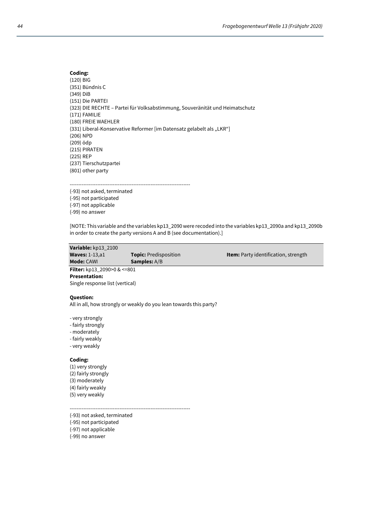### **Coding:**  (120) BIG (351) Bündnis C (349) DiB (151) Die PARTEI (323) DIE RECHTE – Partei für Volksabstimmung, Souveränität und Heimatschutz (171) FAMILIE (180) FREIE WAEHLER (331) Liberal-Konservative Reformer [im Datensatz gelabelt als "LKR"] (206) NPD (209) ödp (215) PIRATEN (225) REP (237) Tierschutzpartei (801) other party

---------------------------------------------------------------------- (-93) not asked, terminated

(-95) not participated (-97) not applicable (-99) no answer

[NOTE: This variable and the variables kp13\_2090 were recoded into the variables kp13\_2090a and kp13\_2090b in order to create the party versions A and B (see documentation).]

| Variable: kp13 2100                     |                              |                                             |
|-----------------------------------------|------------------------------|---------------------------------------------|
| <b>Waves: 1-13, a1</b>                  | <b>Topic:</b> Predisposition | <b>Item:</b> Party identification, strength |
| <b>Mode: CAWI</b>                       | <b>Samples:</b> A/B          |                                             |
| <b>Filter:</b> kp13 2090>0 & $\leq 801$ |                              |                                             |
| <b>Presentation:</b>                    |                              |                                             |

Single response list (vertical)

### **Question:**

All in all, how strongly or weakly do you lean towards this party?

- very strongly

- fairly strongly
- moderately
- fairly weakly
- very weakly

### **Coding:**

(1) very strongly (2) fairly strongly (3) moderately (4) fairly weakly (5) very weakly

----------------------------------------------------------------------

(-93) not asked, terminated

(-95) not participated

(-97) not applicable (-99) no answer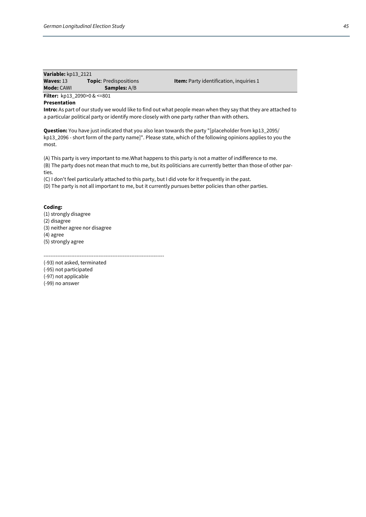| Variable: kp13 2121                |                               |                                                |
|------------------------------------|-------------------------------|------------------------------------------------|
| Waves: $13$                        | <b>Topic:</b> Predispositions | <b>Item:</b> Party identification, inquiries 1 |
| <b>Mode: CAWI</b>                  | <b>Samples:</b> A/B           |                                                |
| <b>Filter:</b> kp13_2090>0 & <=801 |                               |                                                |

### **Presentation**

**Intro:** As part of our study we would like to find out what people mean when they say that they are attached to a particular political party or identify more closely with one party rather than with others.

**Question:** You have just indicated that you also lean towards the party "[placeholder from kp13\_2095/ kp13\_2096 - short form of the party name]". Please state, which of the following opinions applies to you the most.

(A) This party is very important to me.What happens to this party is not a matter of indifference to me. (B) The party does not mean that much to me, but its politicians are currently better than those of other parties.

(C) I don't feel particularly attached to this party, but I did vote for it frequently in the past.

(D) The party is not all important to me, but it currently pursues better policies than other parties.

### **Coding:**

(1) strongly disagree (2) disagree (3) neither agree nor disagree (4) agree (5) strongly agree

----------------------------------------------------------------------

(-93) not asked, terminated (-95) not participated (-97) not applicable (-99) no answer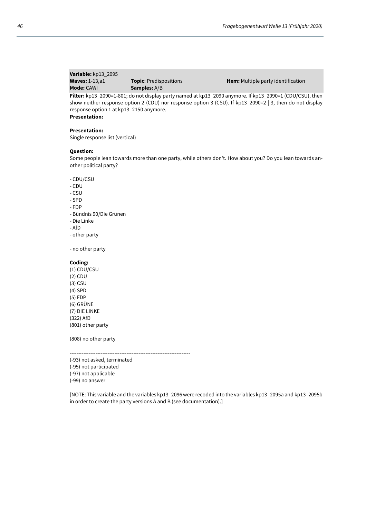| Mode: CAWI             | <b>Samples:</b> A/B           |                                            |
|------------------------|-------------------------------|--------------------------------------------|
| <b>Waves: 1-13, a1</b> | <b>Topic:</b> Predispositions | <b>Item:</b> Multiple party identification |
| Variable: kp13 2095    |                               |                                            |

**Filter:** kp13\_2090=1-801; do not display party named at kp13\_2090 anymore. If kp13\_2090=1 (CDU/CSU), then show neither response option 2 (CDU) nor response option 3 (CSU). If kp13\_2090=2 | 3, then do not display response option 1 at kp13\_2150 anymore.

**Presentation:** 

### **Presentation:**

Single response list (vertical)

### **Question:**

Some people lean towards more than one party, while others don't. How about you? Do you lean towards another political party?

- CDU/CSU
- CDU
- CSU
- SPD
- FDP
- Bündnis 90/Die Grünen
- Die Linke
- AfD
- other party

- no other party

### **Coding:**

(1) CDU/CSU (2) CDU (3) CSU (4) SPD (5) FDP (6) GRÜNE (7) DIE LINKE (322) AfD (801) other party

(808) no other party

----------------------------------------------------------------------

- (-93) not asked, terminated
- (-95) not participated
- (-97) not applicable
- (-99) no answer

[NOTE: This variable and the variables kp13\_2096 were recoded into the variables kp13\_2095a and kp13\_2095b in order to create the party versions A and B (see documentation).]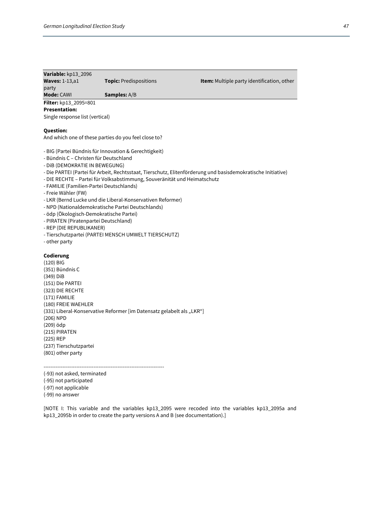### **Variable:** kp13\_2096 **Waves:** 1-13,a1 **Topic:** Predispositions **Item:** Multiple party identification, other party **Mode: CAWI Samples: A/B Filter:** kp13\_2095=801 **Presentation:**  Single response list (vertical)

### **Question:**

And which one of these parties do you feel close to?

- BIG (Partei Bündnis für Innovation & Gerechtigkeit)
- Bündnis C Christen für Deutschland
- DiB (DEMOKRATIE IN BEWEGUNG)
- Die PARTEI (Partei für Arbeit, Rechtsstaat, Tierschutz, Elitenförderung und basisdemokratische Initiative)
- DIE RECHTE Partei für Volksabstimmung, Souveränität und Heimatschutz
- FAMILIE (Familien-Partei Deutschlands)
- Freie Wähler (FW)
- LKR (Bernd Lucke und die Liberal-Konservativen Reformer)
- NPD (Nationaldemokratische Partei Deutschlands)
- ödp (Ökologisch-Demokratische Partei)
- PIRATEN (Piratenpartei Deutschland)
- REP (DIE REPUBLIKANER)
- Tierschutzpartei (PARTEI MENSCH UMWELT TIERSCHUTZ)
- other party

### **Codierung**

(120) BIG (351) Bündnis C (349) DiB (151) Die PARTEI (323) DIE RECHTE (171) FAMILIE (180) FREIE WAEHLER (331) Liberal-Konservative Reformer [im Datensatz gelabelt als "LKR"] (206) NPD (209) ödp (215) PIRATEN (225) REP (237) Tierschutzpartei (801) other party

---------------------------------------------------------------------- (-93) not asked, terminated

- (-95) not participated
- (-97) not applicable
- 
- (-99) no answer

[NOTE I: This variable and the variables kp13\_2095 were recoded into the variables kp13\_2095a and kp13\_2095b in order to create the party versions A and B (see documentation).]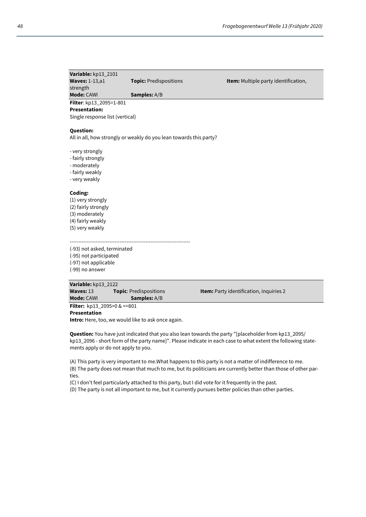| Variable: kp13_2101                                   |                                                                    |                                         |
|-------------------------------------------------------|--------------------------------------------------------------------|-----------------------------------------|
| <b>Waves: 1-13,a1</b>                                 | Topic: Predispositions                                             | Item: Multiple party identification,    |
| strength                                              |                                                                    |                                         |
| <b>Mode: CAWI</b>                                     | Samples: A/B                                                       |                                         |
| Filter: kp13_2095=1-801                               |                                                                    |                                         |
| <b>Presentation:</b>                                  |                                                                    |                                         |
| Single response list (vertical)                       |                                                                    |                                         |
| <b>Question:</b>                                      |                                                                    |                                         |
|                                                       | All in all, how strongly or weakly do you lean towards this party? |                                         |
|                                                       |                                                                    |                                         |
| - very strongly                                       |                                                                    |                                         |
| - fairly strongly                                     |                                                                    |                                         |
| - moderately                                          |                                                                    |                                         |
| - fairly weakly                                       |                                                                    |                                         |
| - very weakly                                         |                                                                    |                                         |
|                                                       |                                                                    |                                         |
| Coding:                                               |                                                                    |                                         |
| (1) very strongly                                     |                                                                    |                                         |
| (2) fairly strongly                                   |                                                                    |                                         |
| (3) moderately                                        |                                                                    |                                         |
| (4) fairly weakly                                     |                                                                    |                                         |
| (5) very weakly                                       |                                                                    |                                         |
|                                                       |                                                                    |                                         |
|                                                       |                                                                    |                                         |
| (-93) not asked, terminated<br>(-95) not participated |                                                                    |                                         |
| (-97) not applicable                                  |                                                                    |                                         |
| (-99) no answer                                       |                                                                    |                                         |
|                                                       |                                                                    |                                         |
| Variable: kp13_2122                                   |                                                                    |                                         |
| Waves: 13                                             | Topic: Predispositions                                             | Item: Party identification, inquiries 2 |
| <b>Mode: CAWI</b>                                     | Samples: A/B                                                       |                                         |
| Filter: kp13_2095>0 & <= 801                          |                                                                    |                                         |
| <b>Presentation</b>                                   |                                                                    |                                         |
| Intro: Here, too, we would like to ask once again.    |                                                                    |                                         |

**Question:** You have just indicated that you also lean towards the party "[placeholder from kp13\_2095/ kp13\_2096 - short form of the party name]". Please indicate in each case to what extent the following statements apply or do not apply to you.

(A) This party is very important to me.What happens to this party is not a matter of indifference to me. (B) The party does not mean that much to me, but its politicians are currently better than those of other parties.

(C) I don't feel particularly attached to this party, but I did vote for it frequently in the past.

(D) The party is not all important to me, but it currently pursues better policies than other parties.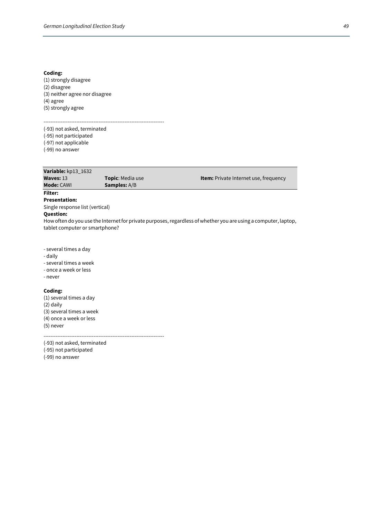(1) strongly disagree (2) disagree (3) neither agree nor disagree (4) agree (5) strongly agree

---------------------------------------------------------------------- (-93) not asked, terminated (-95) not participated (-97) not applicable (-99) no answer

**Variable:** kp13\_1632 **Topic**: Media use **Item:** Private Internet use, frequency **Mode: CAWI Samples: A/B Filter: Presentation:**  Single response list (vertical) **Question:** 

How often do you use the Internet for private purposes, regardless of whether you are using a computer, laptop, tablet computer or smartphone?

- several times a day

- daily
- several times a week
- once a week or less

- never

### **Coding:**

(1) several times a day (2) daily (3) several times a week (4) once a week or less (5) never

----------------------------------------------------------------------

(-93) not asked, terminated

(-95) not participated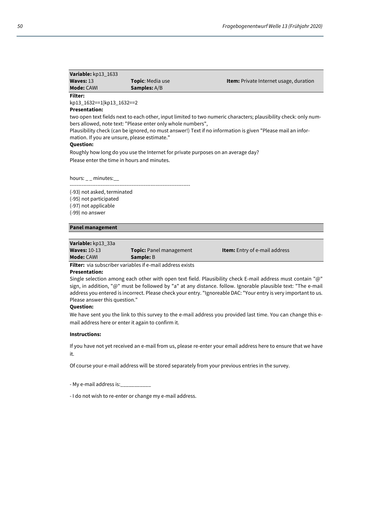| $-1$ . $-1$         |                         |                                               |
|---------------------|-------------------------|-----------------------------------------------|
| <b>Mode:</b> CAWI   | <b>Samples:</b> A/B     |                                               |
| Waves: $13$         | <b>Topic:</b> Media use | <b>Item:</b> Private Internet usage, duration |
| Variable: kp13 1633 |                         |                                               |

### **Filter:**

kp13\_1632==1|kp13\_1632==2

### **Presentation:**

two open text fields next to each other, input limited to two numeric characters; plausibility check: only numbers allowed, note text: "Please enter only whole numbers",

Plausibility check (can be ignored, no must answer!) Text if no information is given "Please mail an information. If you are unsure, please estimate."

### **Question:**

Roughly how long do you use the Internet for private purposes on an average day?

Please enter the time in hours and minutes.

hours:  $\_$  minutes: $\_$ 

----------------------------------------------------------------------

(-93) not asked, terminated (-95) not participated (-97) not applicable

(-99) no answer

### **Panel management**

**Variable:** kp13\_33a

**Waves:** 10-13 **Topic:** Panel management **Item:** Entry of e-mail address **Mode: CAWI Sample: B** 

**Filter:** via subscriber variables if e-mail address exists

### **Presentation:**

Single selection among each other with open text field. Plausibility check E-mail address must contain "@" sign, in addition, "@" must be followed by "a" at any distance. follow. Ignorable plausible text: "The e-mail address you entered is incorrect. Please check your entry. "Ignoreable DAC: "Your entry is very important to us. Please answer this question."

### **Question:**

We have sent you the link to this survey to the e-mail address you provided last time. You can change this email address here or enter it again to confirm it.

### **Instructions:**

If you have not yet received an e-mail from us, please re-enter your email address here to ensure that we have it.

Of course your e-mail address will be stored separately from your previous entries in the survey.

- My e-mail address is:

- I do not wish to re-enter or change my e-mail address.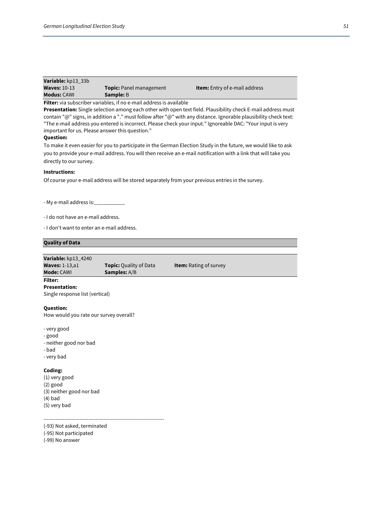| Variable: kp13 33b  |                         |                                      |
|---------------------|-------------------------|--------------------------------------|
| <b>Waves: 10-13</b> | Topic: Panel management | <b>Item:</b> Entry of e-mail address |
| <b>Modus:</b> CAWI  | <b>Sample:</b> B        |                                      |

**Filter:** via subscriber variables, if no e-mail address is available

**Presentation:** Single selection among each other with open text field. Plausibility check E-mail address must contain "@" signs, in addition a "." must follow after "@" with any distance. Ignorable plausibility check text: "The e-mail address you entered is incorrect. Please check your input." Ignoreable DAC: "Your input is very important for us. Please answer this question."

### **Question:**

To make it even easier for you to participate in the German Election Study in the future, we would like to ask you to provide your e-mail address. You will then receive an e-mail notification with a link that will take you directly to our survey.

### **Instructions:**

Of course your e-mail address will be stored separately from your previous entries in the survey.

- My e-mail address is:\_\_\_

- I do not have an e-mail address.

- I don't want to enter an e-mail address.

### **Quality of Data**

| Variable: kp13 4240   |                               |                               |
|-----------------------|-------------------------------|-------------------------------|
| <b>Waves: 1-13,a1</b> | <b>Topic:</b> Quality of Data | <b>Item:</b> Rating of survey |
| <b>Mode: CAWI</b>     | <b>Samples:</b> A/B           |                               |
| <b>Filter:</b>        |                               |                               |

**Presentation:**

Single response list (vertical)

### **Question:**

How would you rate our survey overall?

- very good
- good
- neither good nor bad
- bad
- very bad

### **Coding:**

(1) very good (2) good (3) neither good nor bad (4) bad (5) very bad

(-93) Not asked, terminated

----------------------------------------------------------------------

(-95) Not participated